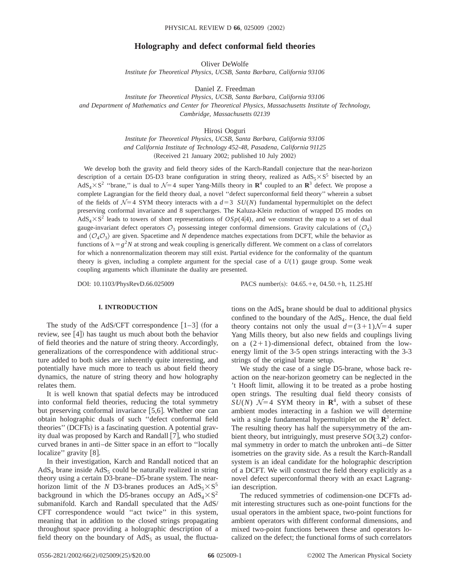# **Holography and defect conformal field theories**

Oliver DeWolfe *Institute for Theoretical Physics, UCSB, Santa Barbara, California 93106*

Daniel Z. Freedman

*Institute for Theoretical Physics, UCSB, Santa Barbara, California 93106 and Department of Mathematics and Center for Theoretical Physics, Massachusetts Institute of Technology, Cambridge, Massachusetts 02139*

Hirosi Ooguri

*Institute for Theoretical Physics, UCSB, Santa Barbara, California 93106 and California Institute of Technology 452-48, Pasadena, California 91125* (Received 21 January 2002; published 10 July 2002)

We develop both the gravity and field theory sides of the Karch-Randall conjecture that the near-horizon description of a certain D5-D3 brane configuration in string theory, realized as  $AdS_5\times S^5$  bisected by an  $AdS_4 \times S^2$  "brane," is dual to  $\mathcal{N}=4$  super Yang-Mills theory in  $\mathbb{R}^4$  coupled to an  $\mathbb{R}^3$  defect. We propose a complete Lagrangian for the field theory dual, a novel ''defect superconformal field theory'' wherein a subset of the fields of  $\mathcal{N}=4$  SYM theory interacts with a  $d=3$   $SU(N)$  fundamental hypermultiplet on the defect preserving conformal invariance and 8 supercharges. The Kaluza-Klein reduction of wrapped D5 modes on  $AdS_4\times S^2$  leads to towers of short representations of  $OSp(4|4)$ , and we construct the map to a set of dual gauge-invariant defect operators  $\mathcal{O}_3$  possessing integer conformal dimensions. Gravity calculations of  $\langle \mathcal{O}_4 \rangle$ and  $\langle O_4O_3\rangle$  are given. Spacetime and *N* dependence matches expectations from DCFT, while the behavior as functions of  $\lambda = g^2 N$  at strong and weak coupling is generically different. We comment on a class of correlators for which a nonrenormalization theorem may still exist. Partial evidence for the conformality of the quantum theory is given, including a complete argument for the special case of a *U*(1) gauge group. Some weak coupling arguments which illuminate the duality are presented.

DOI: 10.1103/PhysRevD.66.025009 PACS number(s): 04.65.+e, 04.50.+h, 11.25.Hf

# **I. INTRODUCTION**

The study of the AdS/CFT correspondence  $|1-3|$  (for a review, see  $[4]$ ) has taught us much about both the behavior of field theories and the nature of string theory. Accordingly, generalizations of the correspondence with additional structure added to both sides are inherently quite interesting, and potentially have much more to teach us about field theory dynamics, the nature of string theory and how holography relates them.

It is well known that spatial defects may be introduced into conformal field theories, reducing the total symmetry but preserving conformal invariance  $[5,6]$ . Whether one can obtain holographic duals of such ''defect conformal field theories" (DCFTs) is a fascinating question. A potential gravity dual was proposed by Karch and Randall  $[7]$ , who studied curved branes in anti–de Sitter space in an effort to ''locally localize" gravity [8].

In their investigation, Karch and Randall noticed that an  $AdS<sub>4</sub>$  brane inside  $AdS<sub>5</sub>$  could be naturally realized in string theory using a certain D3-brane–D5-brane system. The nearhorizon limit of the *N* D3-branes produces an  $AdS_5 \times S^5$ background in which the D5-branes occupy an  $AdS_4 \times S^2$ submanifold. Karch and Randall speculated that the AdS/ CFT correspondence would ''act twice'' in this system, meaning that in addition to the closed strings propagating throughout space providing a holographic description of a field theory on the boundary of  $AdS_5$  as usual, the fluctuations on the  $AdS<sub>4</sub>$  brane should be dual to additional physics confined to the boundary of the  $AdS<sub>4</sub>$ . Hence, the dual field theory contains not only the usual  $d=(3+1)\mathcal{N}=4$  super Yang Mills theory, but also new fields and couplings living on a  $(2+1)$ -dimensional defect, obtained from the lowenergy limit of the 3-5 open strings interacting with the 3-3 strings of the original brane setup.

We study the case of a single D5-brane, whose back reaction on the near-horizon geometry can be neglected in the 't Hooft limit, allowing it to be treated as a probe hosting open strings. The resulting dual field theory consists of *SU*(*N*)  $\mathcal{N}=4$  *SYM* theory in **R**<sup>4</sup>, with a subset of these ambient modes interacting in a fashion we will determine with a single fundamental hypermultiplet on the  $\mathbb{R}^3$  defect. The resulting theory has half the supersymmetry of the ambient theory, but intriguingly, must preserve *SO*(3,2) conformal symmetry in order to match the unbroken anti–de Sitter isometries on the gravity side. As a result the Karch-Randall system is an ideal candidate for the holographic description of a DCFT. We will construct the field theory explicitly as a novel defect superconformal theory with an exact Lagrangian description.

The reduced symmetries of codimension-one DCFTs admit interesting structures such as one-point functions for the usual operators in the ambient space, two-point functions for ambient operators with different conformal dimensions, and mixed two-point functions between these and operators localized on the defect; the functional forms of such correlators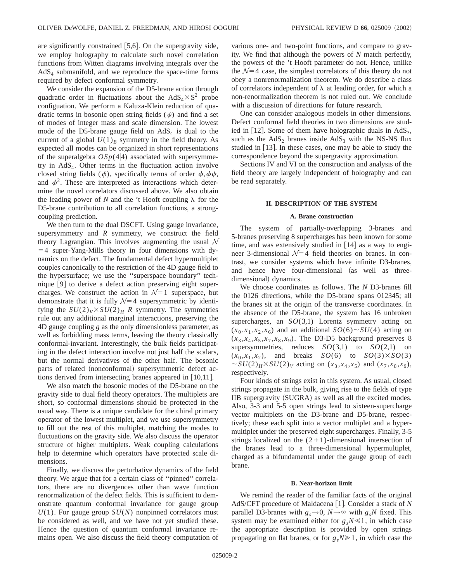are significantly constrained  $|5,6|$ . On the supergravity side, we employ holography to calculate such novel correlation functions from Witten diagrams involving integrals over the  $AdS<sub>4</sub>$  submanifold, and we reproduce the space-time forms required by defect conformal symmetry.

We consider the expansion of the D5-brane action through quadratic order in fluctuations about the  $AdS_4 \times S^2$  probe configuation. We perform a Kaluza-Klein reduction of quadratic terms in bosonic open string fields  $(\psi)$  and find a set of modes of integer mass and scale dimension. The lowest mode of the D5-brane gauge field on  $AdS<sub>4</sub>$  is dual to the current of a global  $U(1)_B$  symmetry in the field theory. As expected all modes can be organized in short representations of the superalgebra  $OSp(4|4)$  associated with supersymmetry in  $AdS<sub>4</sub>$ . Other terms in the fluctuation action involve closed string fields ( $\phi$ ), specifically terms of order  $\phi$ ,  $\phi \psi$ , and  $\phi^2$ . These are interpreted as interactions which determine the novel correlators discussed above. We also obtain the leading power of *N* and the 't Hooft coupling  $\lambda$  for the D5-brane contribution to all correlation functions, a strongcoupling prediction.

We then turn to the dual DSCFT. Using gauge invariance, supersymmetry and  $R$  symmetry, we construct the field theory Lagrangian. This involves augmenting the usual  $\mathcal N$  $=4$  super-Yang-Mills theory in four dimensions with dynamics on the defect. The fundamental defect hypermultiplet couples canonically to the restriction of the 4D gauge field to the hypersurface; we use the ''superspace boundary'' technique  $[9]$  to derive a defect action preserving eight supercharges. We construct the action in  $\mathcal{N}=1$  superspace, but demonstrate that it is fully  $\mathcal{N}=4$  supersymmetric by identifying the  $SU(2)_V \times SU(2)_H$  *R* symmetry. The symmetries rule out any additional marginal interactions, preserving the 4D gauge coupling *g* as the only dimensionless parameter, as well as forbidding mass terms, leaving the theory classically conformal-invariant. Interestingly, the bulk fields participating in the defect interaction involve not just half the scalars, but the normal derivatives of the other half. The bosonic parts of related (nonconformal) supersymmetric defect actions derived from intersecting branes appeared in  $[10,11]$ .

We also match the bosonic modes of the D5-brane on the gravity side to dual field theory operators. The multiplets are short, so conformal dimensions should be protected in the usual way. There is a unique candidate for the chiral primary operator of the lowest multiplet, and we use supersymmetry to fill out the rest of this multiplet, matching the modes to fluctuations on the gravity side. We also discuss the operator structure of higher multiplets. Weak coupling calculations help to determine which operators have protected scale dimensions.

Finally, we discuss the perturbative dynamics of the field theory. We argue that for a certain class of ''pinned'' correlators, there are no divergences other than wave function renormalization of the defect fields. This is sufficient to demonstrate quantum conformal invariance for gauge group  $U(1)$ . For gauge group  $SU(N)$  nonpinned correlators must be considered as well, and we have not yet studied these. Hence the question of quantum conformal invariance remains open. We also discuss the field theory computation of various one- and two-point functions, and compare to gravity. We find that although the powers of *N* match perfectly, the powers of the 't Hooft parameter do not. Hence, unlike the  $\mathcal{N}=4$  case, the simplest correlators of this theory do not obey a nonrenormalization theorem. We do describe a class of correlators independent of  $\lambda$  at leading order, for which a non-renormalization theorem is not ruled out. We conclude with a discussion of directions for future research.

One can consider analogous models in other dimensions. Defect conformal field theories in two dimensions are studied in [12]. Some of them have holographic duals in  $AdS_3$ , such as the  $AdS_2$  branes inside  $AdS_3$  with the NS-NS flux studied in  $[13]$ . In these cases, one may be able to study the correspondence beyond the supergravity approximation.

Sections IV and VI on the construction and analysis of the field theory are largely independent of holography and can be read separately.

#### **II. DESCRIPTION OF THE SYSTEM**

## **A. Brane construction**

The system of partially-overlapping 3-branes and 5-branes preserving 8 supercharges has been known for some time, and was extensively studied in  $[14]$  as a way to engineer 3-dimensional  $\mathcal{N}=4$  field theories on branes. In contrast, we consider systems which have infinite D3-branes, and hence have four-dimensional (as well as threedimensional) dynamics.

We choose coordinates as follows. The *N* D3-branes fill the 0126 directions, while the D5-brane spans 012345; all the branes sit at the origin of the transverse coordinates. In the absence of the D5-brane, the system has 16 unbroken supercharges, an *SO*(3,1) Lorentz symmetry acting on  $(x_0, x_1, x_2, x_6)$  and an additional  $SO(6) \sim SU(4)$  acting on  $(x_3, x_4, x_5, x_7, x_8, x_9)$ . The D3-D5 background preserves 8 supersymmetries, reduces  $SO(3,1)$  to  $SO(2,1)$  on  $(x_0, x_1, x_2)$ , and breaks  $SO(6)$  to  $SO(3) \times SO(3)$  $\sim$  *SU*(2)<sub>*H*</sub> $\times$  *SU*(2)<sub>*V*</sub> acting on (*x*<sub>3</sub>,*x*<sub>4</sub>,*x*<sub>5</sub>) and (*x*<sub>7</sub>,*x*<sub>8</sub>,*x*<sub>9</sub>), respectively.

Four kinds of strings exist in this system. As usual, closed strings propagate in the bulk, giving rise to the fields of type IIB supergravity (SUGRA) as well as all the excited modes. Also, 3-3 and 5-5 open strings lead to sixteen-supercharge vector multiplets on the D3-brane and D5-brane, respectively; these each split into a vector multiplet and a hypermultiplet under the preserved eight supercharges. Finally, 3-5 strings localized on the  $(2+1)$ -dimensional intersection of the branes lead to a three-dimensional hypermultiplet, charged as a bifundamental under the gauge group of each brane.

#### **B. Near-horizon limit**

We remind the reader of the familiar facts of the original AdS/CFT procedure of Maldacena [1]. Consider a stack of *N* parallel D3-branes with  $g_s \rightarrow 0$ ,  $N \rightarrow \infty$  with  $g_sN$  fixed. This system may be examined either for  $g_sN \ll 1$ , in which case the appropriate description is provided by open strings propagating on flat branes, or for  $g_sN \ge 1$ , in which case the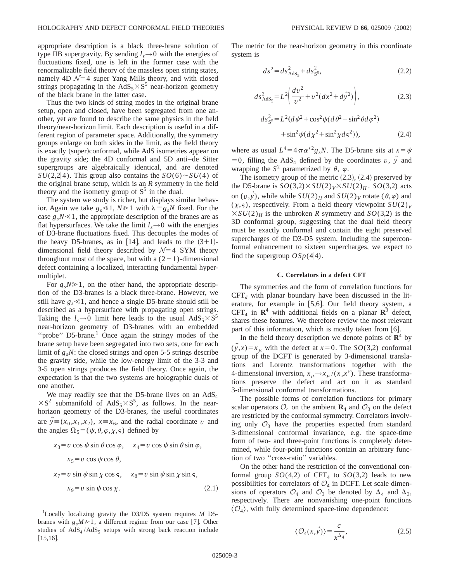appropriate description is a black three-brane solution of type IIB supergravity. By sending  $l_s \rightarrow 0$  with the energies of fluctuations fixed, one is left in the former case with the renormalizable field theory of the massless open string states, namely 4D  $\mathcal{N}=4$  super Yang Mills theory, and with closed strings propagating in the  $AdS_5 \times S^5$  near-horizon geometry of the black brane in the latter case.

Thus the two kinds of string modes in the original brane setup, open and closed, have been segregated from one another, yet are found to describe the same physics in the field theory/near-horizon limit. Each description is useful in a different region of parameter space. Additionally, the symmetry groups enlarge on both sides in the limit, as the field theory is exactly (super)conformal, while AdS isometries appear on the gravity side; the 4D conformal and 5D anti–de Sitter supergroups are algebraically identical, and are denoted  $SU(2,2|4)$ . This group also contains the  $SO(6) \sim SU(4)$  of the original brane setup, which is an *R* symmetry in the field theory and the isometry group of  $S^5$  in the dual.

The system we study is richer, but displays similar behavior. Again we take  $g_s \le 1$ ,  $N \ge 1$  with  $\lambda = g_s N$  fixed. For the case  $g_sN \leq 1$ , the appropriate description of the branes are as flat hypersurfaces. We take the limit  $l_s \rightarrow 0$  with the energies of D3-brane fluctuations fixed. This decouples the modes of the heavy D5-branes, as in [14], and leads to the  $(3+1)$ dimensional field theory described by  $\mathcal{N}=4$  SYM theory throughout most of the space, but with a  $(2+1)$ -dimensional defect containing a localized, interacting fundamental hypermultiplet.

For  $g_sN \ge 1$ , on the other hand, the appropriate description of the D3-branes is a black three-brane. However, we still have  $g_s \ll 1$ , and hence a single D5-brane should still be described as a hypersurface with propagating open strings. Taking the  $l_s \rightarrow 0$  limit here leads to the usual  $AdS_5 \times S^5$ near-horizon geometry of D3-branes with an embedded "probe" D5-brane.<sup>1</sup> Once again the stringy modes of the brane setup have been segregated into two sets, one for each limit of  $g_s$ *N*: the closed strings and open 5-5 strings describe the gravity side, while the low-energy limit of the 3-3 and 3-5 open strings produces the field theory. Once again, the expectation is that the two systems are holographic duals of one another.

We may readily see that the D5-brane lives on an  $AdS_4$  $\times S^2$  submanifold of AdS<sub>5</sub> $\times S^5$ , as follows. In the nearhorizon geometry of the D3-branes, the useful coordinates are  $\vec{y} \equiv (x_0, x_1, x_2), \; x \equiv x_6$ , and the radial coordinate *v* and the angles  $\Omega_5 = (\psi, \theta, \varphi, \chi, \varsigma)$  defined by

$$
x_3 = v \cos \psi \sin \theta \cos \varphi, \quad x_4 = v \cos \psi \sin \theta \sin \varphi,
$$
  
\n
$$
x_5 = v \cos \psi \cos \theta,
$$
  
\n
$$
x_7 = v \sin \psi \sin \chi \cos \varsigma, \quad x_8 = v \sin \psi \sin \chi \sin \varsigma,
$$
  
\n
$$
x_9 = v \sin \psi \cos \chi.
$$
 (2.1)

The metric for the near-horizon geometry in this coordinate system is

$$
ds^2 = ds^2_{AdS_5} + ds^2_{S^5},
$$
 (2.2)

$$
ds_{AdS_5}^2 = L^2 \left( \frac{dv^2}{v^2} + v^2 (dx^2 + d\vec{y}^2) \right),
$$
 (2.3)

$$
ds_{S^5}^2 = L^2 (d\psi^2 + \cos^2 \psi (d\theta^2 + \sin^2 \theta d\varphi^2) + \sin^2 \psi (d\chi^2 + \sin^2 \chi d\varsigma^2)),
$$
 (2.4)

where as usual  $L^4 = 4 \pi \alpha'^2 g_s N$ . The D5-brane sits at  $x = \psi$  $=0$ , filling the AdS<sub>4</sub> defined by the coordinates *v*, *y* and wrapping the  $S^2$  parametrized by  $\theta$ ,  $\varphi$ .

The isometry group of the metric  $(2.3)$ ,  $(2.4)$  preserved by the D5-brane is  $SO(3,2) \times SU(2)_V \times SU(2)_H$ .  $SO(3,2)$  acts on  $(v, y)$ , while while  $SU(2)_H$  and  $SU(2)_V$  rotate  $(\theta, \varphi)$  and  $(\chi, \mathsf{s})$ , respectively. From a field theory viewpoint  $SU(2)_V$  $\times SU(2)_H$  is the unbroken *R* symmetry and *SO*(3,2) is the 3D conformal group, suggesting that the dual field theory must be exactly conformal and contain the eight preserved supercharges of the D3-D5 system. Including the superconformal enhancement to sixteen supercharges, we expect to find the supergroup  $OSp(4|4)$ .

## **C. Correlators in a defect CFT**

The symmetries and the form of correlation functions for  $CFT<sub>d</sub>$  with planar boundary have been discussed in the literature, for example in  $[5,6]$ . Our field theory system, a  $CFT_4$  in  $\mathbb{R}^4$  with additional fields on a planar  $\mathbb{R}^3$  defect, shares these features. We therefore review the most relevant part of this information, which is mostly taken from  $\lceil 6 \rceil$ .

In the field theory description we denote points of  $\mathbb{R}^4$  by  $(y,x)=x_u$  with the defect at  $x=0$ . The *SO*(3,2) conformal group of the DCFT is generated by 3-dimensional translations and Lorentz transformations together with the 4-dimensional inversion,  $x_{\mu} \rightarrow x_{\mu} / (x_{\nu} x^{\nu})$ . These transformations preserve the defect and act on it as standard 3-dimensional conformal transformations.

The possible forms of correlation functions for primary scalar operators  $\mathcal{O}_4$  on the ambient  $\mathbf{R}_4$  and  $\mathcal{O}_3$  on the defect are restricted by the conformal symmetry. Correlators involving only  $\mathcal{O}_3$  have the properties expected from standard 3-dimensional conformal invariance, e.g. the space-time form of two- and three-point functions is completely determined, while four-point functions contain an arbitrary function of two ''cross-ratio'' variables.

On the other hand the restriction of the conventional conformal group  $SO(4,2)$  of CFT<sub>4</sub> to  $SO(3,2)$  leads to new possibilities for correlators of  $\mathcal{O}_4$  in DCFT. Let scale dimensions of operators  $\mathcal{O}_4$  and  $\mathcal{O}_3$  be denoted by  $\Delta_4$  and  $\Delta_3$ , respectively. There are nonvanishing one-point functions  $\langle \mathcal{O}_4 \rangle$ , with fully determined space-time dependence:

$$
\langle \mathcal{O}_4(x,\vec{y}) \rangle = \frac{c}{x^{\Delta_4}},\tag{2.5}
$$

<sup>&</sup>lt;sup>1</sup>Locally localizing gravity the D3/D5 system requires *M* D5branes with  $g_s M \ge 1$ , a different regime from our case [7]. Other studies of  $AdS_4 / AdS_5$  setups with strong back reaction include  $[15,16]$ .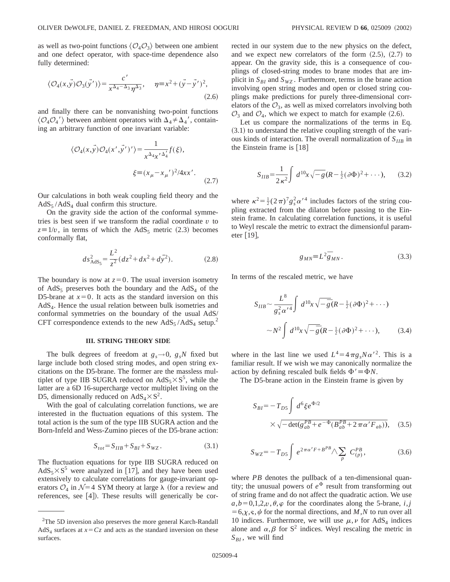as well as two-point functions  $\langle \mathcal{O}_4 \mathcal{O}_3 \rangle$  between one ambient and one defect operator, with space-time dependence also fully determined:

$$
\langle \mathcal{O}_4(x,\vec{y})\mathcal{O}_3(\vec{y}')\rangle = \frac{c'}{x^{\Delta_4-\Delta_3}\eta^{\Delta_3}}, \quad \eta \equiv x^2 + (\vec{y}-\vec{y}')^2,
$$
\n(2.6)

and finally there can be nonvanishing two-point functions  $\langle \mathcal{O}_4\mathcal{O}_4'\rangle$  between ambient operators with  $\Delta_4\neq \Delta_4'$ , containing an arbitrary function of one invariant variable:

$$
\langle \mathcal{O}_4(x,\vec{y})\mathcal{O}_4(x',\vec{y}') \rangle = \frac{1}{x^{\Delta_4}x'^{\Delta_4'}}f(\xi),
$$
  

$$
\xi = (x_\mu - x_\mu')^2/4xx'.
$$
 (2.7)

Our calculations in both weak coupling field theory and the  $AdS_5 / AdS_4$  dual confirm this structure.

On the gravity side the action of the conformal symmetries is best seen if we transform the radial coordinate  $\nu$  to  $z=1/v$ , in terms of which the AdS<sub>5</sub> metric (2.3) becomes conformally flat,

$$
ds_{\text{AdS}_5}^2 = \frac{L^2}{z^2} (dz^2 + dx^2 + d\vec{y}^2). \tag{2.8}
$$

The boundary is now at  $z=0$ . The usual inversion isometry of  $AdS_5$  preserves both the boundary and the  $AdS_4$  of the D5-brane at  $x=0$ . It acts as the standard inversion on this AdS4. Hence the usual relation between bulk isometries and conformal symmetries on the boundary of the usual AdS/ CFT correspondence extends to the new  $AdS_5 / AdS_4$  setup.<sup>2</sup>

#### **III. STRING THEORY SIDE**

The bulk degrees of freedom at  $g_s \rightarrow 0$ ,  $g_s N$  fixed but large include both closed string modes, and open string excitations on the D5-brane. The former are the massless multiplet of type IIB SUGRA reduced on  $AdS_5 \times S^5$ , while the latter are a 6D 16-supercharge vector multiplet living on the D5, dimensionally reduced on  $AdS_4 \times S^2$ .

With the goal of calculating correlation functions, we are interested in the fluctuation equations of this system. The total action is the sum of the type IIB SUGRA action and the Born-Infeld and Wess-Zumino pieces of the D5-brane action:

$$
S_{tot} = S_{IIB} + S_{BI} + S_{WZ}.
$$
 (3.1)

The fluctuation equations for type IIB SUGRA reduced on  $AdS_5 \times S^5$  were analyzed in [17], and they have been used extensively to calculate correlations for gauge-invariant operators  $\mathcal{O}_4$  in  $\mathcal{N}=4$  SYM theory at large  $\lambda$  (for a review and references, see  $[4]$ ). These results will generically be corrected in our system due to the new physics on the defect, and we expect new correlators of the form  $(2.5)$ ,  $(2.7)$  to appear. On the gravity side, this is a consequence of couplings of closed-string modes to brane modes that are implicit in  $S_{BI}$  and  $S_{WZ}$ . Furthermore, terms in the brane action involving open string modes and open or closed string couplings make predictions for purely three-dimensional correlators of the  $\mathcal{O}_3$ , as well as mixed correlators involving both  $\mathcal{O}_3$  and  $\mathcal{O}_4$ , which we expect to match for example (2.6).

Let us compare the normalizations of the terms in Eq.  $(3.1)$  to understand the relative coupling strength of the various kinds of interaction. The overall normalization of  $S_{IIB}$  in the Einstein frame is  $[18]$ 

$$
S_{IIB} = \frac{1}{2\,\kappa^2} \int d^{10}x \sqrt{-g} (R - \frac{1}{2} (\partial \Phi)^2 + \cdots), \qquad (3.2)
$$

where  $\kappa^2 = \frac{1}{2} (2\pi)^7 g_s^2 \alpha'^4$  includes factors of the string coupling extracted from the dilaton before passing to the Einstein frame. In calculating correlation functions, it is useful to Weyl rescale the metric to extract the dimensionful parameter  $[19]$ ,

$$
g_{MN} \equiv L^2 \overline{g}_{MN} \,. \tag{3.3}
$$

In terms of the rescaled metric, we have

$$
S_{IIB} \sim \frac{L^8}{g_s^2 \alpha'^4} \int d^{10}x \sqrt{-\bar{g}} (R - \frac{1}{2} (\partial \Phi)^2 + \cdots)
$$
  
 
$$
\sim N^2 \int d^{10}x \sqrt{-\bar{g}} (R - \frac{1}{2} (\partial \Phi)^2 + \cdots), \qquad (3.4)
$$

where in the last line we used  $L^4 = 4 \pi g_s N \alpha'^2$ . This is a familiar result. If we wish we may canonically normalize the action by defining rescaled bulk fields  $\Phi' \equiv \Phi N$ .

The D5-brane action in the Einstein frame is given by

$$
S_{BI} = -T_{DS} \int d^6 \xi e^{\Phi/2}
$$
  
 
$$
\times \sqrt{-\det(g_{ab}^{PB} + e^{-\Phi}(B_{ab}^{PB} + 2\pi\alpha' F_{ab}))}, \quad (3.5)
$$

$$
S_{WZ} = -T_{D5} \int e^{2\pi\alpha'F + B^{PB}} \wedge \sum_{p} C_{(p)}^{PB}, \qquad (3.6)
$$

where *PB* denotes the pullback of a ten-dimensional quantity; the unusual powers of  $e^{\Phi}$  result from transforming out of string frame and do not affect the quadratic action. We use  $a, b = 0,1,2, v, \theta, \varphi$  for the coordinates along the 5-brane, *i*, *j*  $=6, x, s, \psi$  for the normal directions, and *M*, *N* to run over all 10 indices. Furthermore, we will use  $\mu, \nu$  for AdS<sub>4</sub> indices alone and  $\alpha, \beta$  for S<sup>2</sup> indices. Weyl rescaling the metric in  $S_{BI}$ , we will find

<sup>&</sup>lt;sup>2</sup>The 5D inversion also preserves the more general Karch-Randall AdS<sub>4</sub> surfaces at  $x = Cz$  and acts as the standard inversion on these surfaces.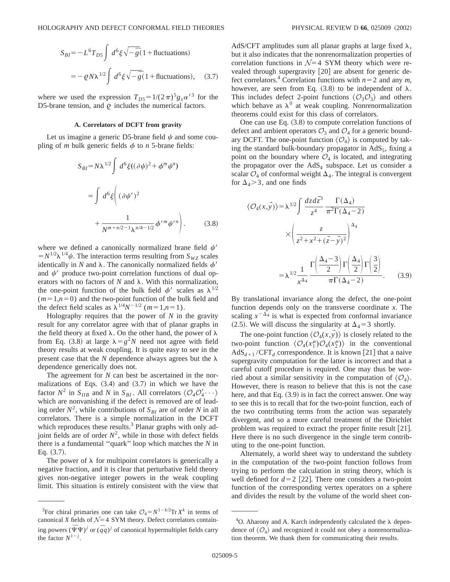$$
S_{BI} = -L^6 T_{DS} \int d^6 \xi \sqrt{-\bar{g}} (1 + \text{fluctuations})
$$
  
=  $-\rho N \lambda^{1/2} \int d^6 \xi \sqrt{-\bar{g}} (1 + \text{fluctuations}), \quad (3.7)$ 

where we used the expression  $T_{D5} = 1/(2\pi)^5 g_s \alpha'^3$  for the D5-brane tension, and  $\rho$  includes the numerical factors.

# **A. Correlators of DCFT from gravity**

Let us imagine a generic D5-brane field  $\psi$  and some coupling of *m* bulk generic fields  $\phi$  to *n* 5-brane fields:

$$
S_{BI} = N\lambda^{1/2} \int d^6 \xi ((\partial \psi)^2 + \phi^m \psi^n)
$$
  
= 
$$
\int d^6 \xi \left( (\partial \psi')^2 + \frac{1}{N^{m+n/2-1} \lambda^{n/4-1/2}} \phi'^m \psi'^n \right).
$$
 (3.8)

where we defined a canonically normalized brane field  $\psi'$  $= N^{1/2} \lambda^{1/4} \psi$ . The interaction terms resulting from  $S_{WZ}$  scales identically in *N* and  $\lambda$ . The canonically normalized fields  $\phi'$ and  $\psi'$  produce two-point correlation functions of dual operators with no factors of  $N$  and  $\lambda$ . With this normalization, the one-point function of the bulk field  $\phi'$  scales as  $\lambda^{1/2}$  $(m=1,n=0)$  and the two-point function of the bulk field and the defect field scales as  $\lambda^{1/4}N^{-1/2}$  ( $m=1,n=1$ ).

Holography requires that the power of *N* in the gravity result for any correlator agree with that of planar graphs in the field theory at fixed  $\lambda$ . On the other hand, the power of  $\lambda$ from Eq. (3.8) at large  $\lambda = g^2 N$  need not agree with field theory results at weak coupling. It is quite easy to see in the present case that the  $N$  dependence always agrees but the  $\lambda$ dependence generically does not.

The agreement for *N* can best be ascertained in the normalizations of Eqs.  $(3.4)$  and  $(3.7)$  in which we have the factor  $N^2$  in  $S_{IIB}$  and *N* in  $S_{BI}$ . All correlators  $\langle \mathcal{O}_4 \mathcal{O}_4' \cdots \rangle$ which are nonvanishing if the defect is removed are of leading order  $N^2$ , while contributions of  $S_{BI}$  are of order *N* in all correlators. There is a simple normalization in the DCFT which reproduces these results.<sup>3</sup> Planar graphs with only adjoint fields are of order  $N^2$ , while in those with defect fields there is a fundamental ''quark'' loop which matches the *N* in Eq.  $(3.7)$ .

The power of  $\lambda$  for multipoint correlators is generically a negative fraction, and it is clear that perturbative field theory gives non-negative integer powers in the weak coupling limit. This situation is entirely consistent with the view that AdS/CFT amplitudes sum all planar graphs at large fixed  $\lambda$ , but it also indicates that the nonrenormalization properties of correlation functions in  $\mathcal{N}=4$  SYM theory which were revealed through supergravity  $[20]$  are absent for generic defect correlators.<sup>4</sup> Correlation functions with  $n=2$  and any  $m$ , however, are seen from Eq.  $(3.8)$  to be independent of  $\lambda$ . This includes defect 2-point functions  $\langle \mathcal{O}_3 \mathcal{O}_3 \rangle$  and others which behave as  $\lambda^0$  at weak coupling. Nonrenormalization theorems could exist for this class of correlators.

One can use Eq.  $(3.8)$  to compute correlation functions of defect and ambient operators  $\mathcal{O}_3$  and  $\mathcal{O}_4$  for a generic boundary DCFT. The one-point function  $\langle \mathcal{O}_4 \rangle$  is computed by taking the standard bulk-boundary propagator in  $AdS_5$ , fixing a point on the boundary where  $\mathcal{O}_4$  is located, and integrating the propagator over the  $AdS<sub>4</sub>$  subspace. Let us consider a scalar  $\mathcal{O}_4$  of conformal weight  $\Delta_4$ . The integral is convergent for  $\Delta_4$  > 3, and one finds

$$
\langle \mathcal{O}_4(x, \vec{y}) \rangle = \lambda^{1/2} \int \frac{dz d\vec{z}^3}{z^4} \frac{\Gamma(\Delta_4)}{\pi^2 \Gamma(\Delta_4 - 2)} \times \left( \frac{z}{z^2 + x^2 + (\vec{z} - \vec{y})^2} \right)^{\Delta_4} \times \left( \frac{z}{z^2 + x^2 + (\vec{z} - \vec{y})^2} \right)^{\Delta_4} \times \left( \frac{\Delta_4 - 3}{2} \right) \Gamma\left(\frac{\Delta_4}{2}\right) \Gamma\left(\frac{3}{2}\right) \times \left( \frac{3}{2} \right) \times \left( \frac{3}{2} \right) \times \left( \frac{3}{2} \right) \times \left( \frac{3}{2} \right) \times \left( \frac{3}{2} \right) \times \left( \frac{3}{2} \right) \times \left( \frac{3}{2} \right) \times \left( \frac{3}{2} \right) \times \left( \frac{3}{2} \right) \times \left( \frac{3}{2} \right) \times \left( \frac{3}{2} \right) \times \left( \frac{3}{2} \right) \times \left( \frac{3}{2} \right) \times \left( \frac{3}{2} \right) \times \left( \frac{3}{2} \right) \times \left( \frac{3}{2} \right) \times \left( \frac{3}{2} \right) \times \left( \frac{3}{2} \right) \times \left( \frac{3}{2} \right) \times \left( \frac{3}{2} \right) \times \left( \frac{3}{2} \right) \times \left( \frac{3}{2} \right) \times \left( \frac{3}{2} \right) \times \left( \frac{3}{2} \right) \times \left( \frac{3}{2} \right) \times \left( \frac{3}{2} \right) \times \left( \frac{3}{2} \right) \times \left( \frac{3}{2} \right) \times \left( \frac{3}{2} \right) \times \left( \frac{3}{2} \right) \times \left( \frac{3}{2} \right) \times \left( \frac{3}{2} \right) \times \left( \frac{3}{2} \right) \times \left( \frac{3}{2} \right) \times \left( \frac{3}{2} \right) \times \left( \frac{3}{2} \right) \times \left( \frac{3}{2} \right) \times \left( \frac{3
$$

By translational invariance along the defect, the one-point function depends only on the transverse coordinate *x*. The scaling  $x^{-\Delta_4}$  is what is expected from conformal invariance (2.5). We will discuss the singularity at  $\Delta_4=3$  shortly.

The one-point function  $\langle \mathcal{O}_4(x,y) \rangle$  is closely related to the two-point function  $\langle \mathcal{O}_4(x_1^{\mu}) \mathcal{O}_4(x_2^{\mu}) \rangle$  in the conventional  $AdS_{d+1} / CFT_d$  correspondence. It is known [21] that a naive supergravity computation for the latter is incorrect and that a careful cutoff procedure is required. One may thus be worried about a similar sensitivity in the computation of  $\langle \mathcal{O}_4 \rangle$ . However, there is reason to believe that this is not the case here, and that Eq.  $(3.9)$  is in fact the correct answer. One way to see this is to recall that for the two-point function, each of the two contributing terms from the action was separately divergent, and so a more careful treatment of the Dirichlet problem was required to extract the proper finite result  $[21]$ . Here there is no such divergence in the single term contributing to the one-point function.

Alternately, a world sheet way to understand the subtlety in the computation of the two-point function follows from trying to perform the calculation in string theory, which is well defined for  $d=2$  [22]. There one considers a two-point function of the corresponding vertex operators on a sphere and divides the result by the volume of the world sheet con-

<sup>&</sup>lt;sup>3</sup>For chiral primaries one can take  $\mathcal{O}_4 = N^{1-k/2} \text{Tr } X^k$  in terms of canonical *X* fields of  $N=4$  SYM theory. Defect correlators containing powers  $(\bar{\Psi}\Psi)^j$  or  $(\bar{q}q)^j$  of canonical hypermultiplet fields carry the factor  $N^{1-j}$ .

 ${}^{4}$ O. Aharony and A. Karch independently calculated the  $\lambda$  dependence of  $\langle \mathcal{O}_4 \rangle$  and recognized it could not obey a nonrenormalization theorem. We thank them for communicating their results.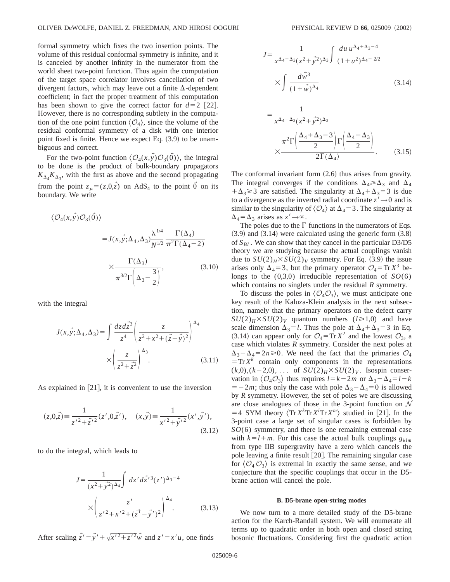formal symmetry which fixes the two insertion points. The volume of this residual conformal symmetry is infinite, and it is canceled by another infinity in the numerator from the world sheet two-point function. Thus again the computation of the target space correlator involves cancellation of two divergent factors, which may leave out a finite  $\Delta$ -dependent coefficient; in fact the proper treatment of this computation has been shown to give the correct factor for  $d=2$  [22]. However, there is no corresponding subtlety in the computation of the one point function  $\langle \mathcal{O}_4 \rangle$ , since the volume of the residual conformal symmetry of a disk with one interior point fixed is finite. Hence we expect Eq.  $(3.9)$  to be unambiguous and correct.

For the two-point function  $\langle \mathcal{O}_4(x,y),\mathcal{O}_3(\vec{0})\rangle$ , the integral to be done is the product of bulk-boundary propagators  $K_{\Delta_4} K_{\Delta_3}$ , with the first as above and the second propagating from the point  $z_{\mu} = (z,0,\vec{z})$  on AdS<sub>4</sub> to the point  $\vec{0}$  on its boundary. We write

$$
\langle \mathcal{O}_4(x, \vec{y}) \mathcal{O}_3(\vec{0}) \rangle
$$
  
=  $J(x, \vec{y}; \Delta_4, \Delta_3) \frac{\lambda^{1/4}}{N^{1/2}} \frac{\Gamma(\Delta_4)}{\pi^2 \Gamma(\Delta_4 - 2)}$   
 $\times \frac{\Gamma(\Delta_3)}{\pi^{3/2} \Gamma(\Delta_3 - \frac{3}{2})},$  (3.10)

with the integral

$$
J(x, \vec{y}; \Delta_4, \Delta_3) = \int \frac{dz d\vec{z}^3}{z^4} \left( \frac{z}{z^2 + x^2 + (\vec{z} - \vec{y})^2} \right)^{\Delta_4} \times \left( \frac{z}{z^2 + \vec{z}^2} \right)^{\Delta_3} .
$$
 (3.11)

As explained in  $[21]$ , it is convenient to use the inversion

$$
(z,0,\vec{z}) \equiv \frac{1}{z'^2 + \vec{z}'^2} (z',0,\vec{z}'), \quad (x,\vec{y}) \equiv \frac{1}{x'^2 + \vec{y}'^2} (x',\vec{y}'),
$$
\n(3.12)

to do the integral, which leads to

$$
J = \frac{1}{(x^2 + \vec{y}^2)^{\Delta_4}} \int dz' d\vec{z}'^3 (z')^{\Delta_3 - 4}
$$

$$
\times \left(\frac{z'}{z'^2 + x'^2 + (\vec{z'} - \vec{y'})^2}\right)^{\Delta_4}.
$$
(3.13)

After scaling  $\vec{z}' = \vec{y}' + \sqrt{{x'}^2 + {z'}^2} \vec{w}$  and  $z' = x'u$ , one finds

$$
J = \frac{1}{x^{\Delta_4 - \Delta_3} (x^2 + \vec{y}^2)^{\Delta_3}} \int \frac{du \, u^{\Delta_4 + \Delta_3 - 4}}{(1 + u^2)^{\Delta_4 - 2/2}} \times \int \frac{d\vec{w}^3}{(1 + \vec{w})^{\Delta_4}} \tag{3.14}
$$

$$
= \frac{1}{x^{\Delta_4 - \Delta_3}(x^2 + y^2)^{\Delta_3}}
$$

$$
\times \frac{\pi^2 \Gamma\left(\frac{\Delta_4 + \Delta_3 - 3}{2}\right) \Gamma\left(\frac{\Delta_4 - \Delta_3}{2}\right)}{2\Gamma(\Delta_4)}.
$$
(3.15)

The conformal invariant form  $(2.6)$  thus arises from gravity. The integral converges if the conditions  $\Delta_4 \ge \Delta_3$  and  $\Delta_4$  $+\Delta_3 \geq 3$  are satisfied. The singularity at  $\Delta_4 + \Delta_3 = 3$  is due to a divergence as the inverted radial coordinate  $z' \rightarrow 0$  and is similar to the singularity of  $\langle \mathcal{O}_4 \rangle$  at  $\Delta_4=3$ . The singularity at  $\Delta_4 = \Delta_3$  arises as  $z' \rightarrow \infty$ .

The poles due to the  $\Gamma$  functions in the numerators of Eqs.  $(3.9)$  and  $(3.14)$  were calculated using the generic form  $(3.8)$ of  $S_{BI}$ . We can show that they cancel in the particular D3/D5 theory we are studying because the actual couplings vanish due to  $SU(2)_H$ × $SU(2)_V$  symmetry. For Eq. (3.9) the issue arises only  $\Delta_4=3$ , but the primary operator  $\mathcal{O}_4=\text{Tr }X^3$  belongs to the (0,3,0) irreducible representation of *SO*(6) which contains no singlets under the residual *R* symmetry.

To discuss the poles in  $\langle \mathcal{O}_4 \mathcal{O}_3 \rangle$ , we must anticipate one key result of the Kaluza-Klein analysis in the next subsection, namely that the primary operators on the defect carry  $SU(2)_H$ × $SU(2)_V$  quantum numbers (*l* ≥ 1,0) and have scale dimension  $\Delta_3 = l$ . Thus the pole at  $\Delta_4 + \Delta_3 = 3$  in Eq.  $(3.14)$  can appear only for  $\mathcal{O}_4 = \text{Tr} X^2$  and the lowest  $\mathcal{O}_3$ , a case which violates *R* symmetry. Consider the next poles at  $\Delta_3 - \Delta_4 = 2n \ge 0$ . We need the fact that the primaries  $\mathcal{O}_4$  $T = \text{Tr } X^k$  contain only components in the representations  $(k,0)$ ,  $(k-2,0)$ , ... of  $SU(2)_H$  $\times$   $SU(2)_V$ . Isospin conservation in  $\langle \mathcal{O}_4 \mathcal{O}_3 \rangle$  thus requires  $l = k - 2m$  or  $\Delta_3 - \Delta_4 = l - k$  $=$  -2*m*; thus only the case with pole  $\Delta_3-\Delta_4=0$  is allowed by *R* symmetry. However, the set of poles we are discussing are close analogues of those in the 3-point function on  $\mathcal N$  $=$  4 SYM theory  $\langle \text{Tr} X^k \text{Tr} X^l \text{Tr} X^m \rangle$  studied in [21]. In the 3-point case a large set of singular cases is forbidden by *SO*(6) symmetry, and there is one remaining extremal case with  $k=l+m$ . For this case the actual bulk couplings  $g_{klm}$ from type IIB supergravity have a zero which cancels the pole leaving a finite result  $[20]$ . The remaining singular case for  $\langle \mathcal{O}_4 \mathcal{O}_3 \rangle$  is extremal in exactly the same sense, and we conjecture that the specific couplings that occur in the D5 brane action will cancel the pole.

## **B. D5-brane open-string modes**

We now turn to a more detailed study of the D5-brane action for the Karch-Randall system. We will enumerate all terms up to quadratic order in both open and closed string bosonic fluctuations. Considering first the quadratic action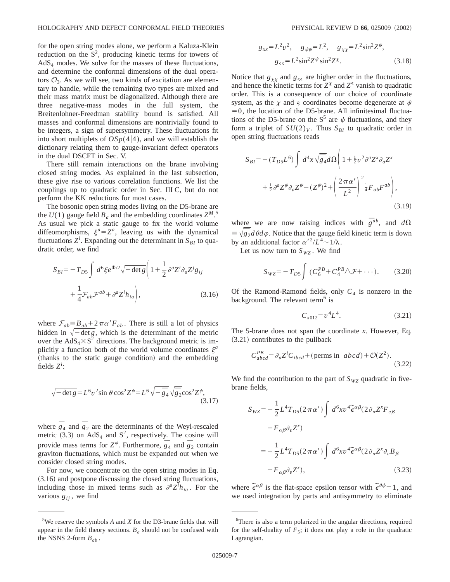for the open string modes alone, we perform a Kaluza-Klein reduction on the  $S^2$ , producing kinetic terms for towers of  $AdS<sub>4</sub>$  modes. We solve for the masses of these fluctuations, and determine the conformal dimensions of the dual operators  $\mathcal{O}_3$ . As we will see, two kinds of excitation are elementary to handle, while the remaining two types are mixed and their mass matrix must be diagonalized. Although there are three negative-mass modes in the full system, the Breitenlohner-Freedman stability bound is satisfied. All masses and conformal dimensions are nontrivially found to be integers, a sign of supersymmetry. These fluctuations fit into short multiplets of  $OSp(4|4)$ , and we will establish the dictionary relating them to gauge-invariant defect operators in the dual DSCFT in Sec. V.

There still remain interactions on the brane involving closed string modes. As explained in the last subsection, these give rise to various correlation functions. We list the couplings up to quadratic order in Sec. III C, but do not perform the KK reductions for most cases.

The bosonic open string modes living on the D5-brane are the  $U(1)$  gauge field  $B_a$  and the embedding coordinates  $Z^M$ .<sup>5</sup> As usual we pick a static gauge to fix the world volume diffeomorphisms,  $\xi^a = Z^a$ , leaving us with the dynamical fluctuations  $Z^i$ . Expanding out the determinant in  $S_{BI}$  to quadratic order, we find

$$
S_{BI} = -T_{DS} \int d^6 \xi e^{\Phi/2} \sqrt{-\det g} \left( 1 + \frac{1}{2} \partial^a Z^i \partial_a Z^j g_{ij} \right. + \frac{1}{4} \mathcal{F}_{ab} \mathcal{F}^{ab} + \partial^a Z^i h_{ia} \right), \tag{3.16}
$$

where  $\mathcal{F}_{ab} = B_{ab} + 2 \pi \alpha' F_{ab}$ . There is still a lot of physics hidden in  $\sqrt{-}$  det *g*, which is the determinant of the metric over the  $AdS_4 \times S^2$  directions. The background metric is implicitly a function both of the world volume coordinates  $\xi^a$ (thanks to the static gauge condition) and the embedding fields  $Z^i$ :

$$
\sqrt{-\det g} = L^6 v^2 \sin \theta \cos^2 2\psi = L^6 \sqrt{-\bar{g}_4} \sqrt{\bar{g}_2} \cos^2 2\psi,
$$
\n(3.17)

where  $\overline{g}_4$  and  $\overline{g}_2$  are the determinants of the Weyl-rescaled metric  $(3.3)$  on AdS<sub>4</sub> and S<sup>2</sup>, respectively. The cosine will provide mass terms for  $Z^{\psi}$ . Furthermore,  $\overline{g}_4$  and  $\overline{g}_2$  contain graviton fluctuations, which must be expanded out when we consider closed string modes.

For now, we concentrate on the open string modes in Eq.  $(3.16)$  and postpone discussing the closed string fluctuations, including those in mixed terms such as  $\partial^a Z^i h_{ia}$ . For the various  $g_{ij}$ , we find

$$
g_{xx} = L^2 v^2, \quad g_{\psi\psi} = L^2, \quad g_{\chi\chi} = L^2 \sin^2 Z^{\psi},
$$
  

$$
g_{ss} = L^2 \sin^2 Z^{\psi} \sin^2 Z^{\chi}.
$$
 (3.18)

Notice that  $g_{xx}$  and  $g_{ss}$  are higher order in the fluctuations, and hence the kinetic terms for  $Z^{\chi}$  and  $Z^{\varsigma}$  vanish to quadratic order. This is a consequence of our choice of coordinate system, as the  $\chi$  and  $\varsigma$  coordinates become degenerate at  $\psi$  $=0$ , the location of the D5-brane. All infinitesimal fluctuations of the D5-brane on the  $S^5$  are  $\psi$  fluctuations, and they form a triplet of  $SU(2)_V$ . Thus  $S_{BI}$  to quadratic order in open string fluctuations reads

$$
S_{BI} = -(T_{D5}L^6) \int d^4x \sqrt{\overline{g}_4} d\Omega \left( 1 + \frac{1}{2} v^2 \partial^a Z^x \partial_a Z^x \right.+ \frac{1}{2} \partial^a Z^{\psi} \partial_a Z^{\psi} - (Z^{\psi})^2 + \left( \frac{2 \pi \alpha'}{L^2} \right)^2 \frac{1}{4} F_{ab} F^{ab} \right),
$$
\n(3.19)

where we are now raising indices with  $\bar{g}^{ab}$ , and  $d\Omega$  $\equiv \sqrt{\frac{2}{g_2}} d\theta d\varphi$ . Notice that the gauge field kinetic term is down by an additional factor  $\alpha'^2/L^4 \sim 1/\lambda$ .

Let us now turn to  $S_{WZ}$ . We find

$$
S_{WZ} = -T_{D5} \int (C_6^{PB} + C_4^{PB} \wedge \mathcal{F} + \cdots). \tag{3.20}
$$

Of the Ramond-Ramond fields, only  $C_4$  is nonzero in the background. The relevant term<sup>6</sup> is

$$
C_{x012} = v^4 L^4. \tag{3.21}
$$

The 5-brane does not span the coordinate *x*. However, Eq.  $(3.21)$  contributes to the pullback

$$
C_{abcd}^{PB} = \partial_a Z^i C_{ibcd} + (\text{perms in } abcd) + \mathcal{O}(Z^2). \tag{3.22}
$$

We find the contribution to the part of  $S_{WZ}$  quadratic in fivebrane fields,

$$
S_{WZ} = -\frac{1}{2} L^4 T_{D5} (2 \pi \alpha') \int d^6 x v^4 \tilde{\epsilon}^{\alpha \beta} (2 \partial_{\alpha} Z^x F_{\nu \beta} - F_{\alpha \beta} \partial_{\nu} Z^x) = -\frac{1}{2} L^4 T_{D5} (2 \pi \alpha') \int d^6 x v^4 \tilde{\epsilon}^{\alpha \beta} (2 \partial_{\alpha} Z^x \partial_{\nu} B_{\beta} - F_{\alpha \beta} \partial_{\nu} Z^x),
$$
(3.23)

where  $\tilde{\epsilon}^{\alpha\beta}$  is the flat-space epsilon tensor with  $\tilde{\epsilon}^{\theta\phi} = 1$ , and we used integration by parts and antisymmetry to eliminate

<sup>5</sup> We reserve the symbols *A* and *X* for the D3-brane fields that will appear in the field theory sections.  $B_a$  should not be confused with the NSNS 2-form  $B_{ab}$ .

<sup>&</sup>lt;sup>6</sup>There is also a term polarized in the angular directions, required for the self-duality of  $F_5$ ; it does not play a role in the quadratic Lagrangian.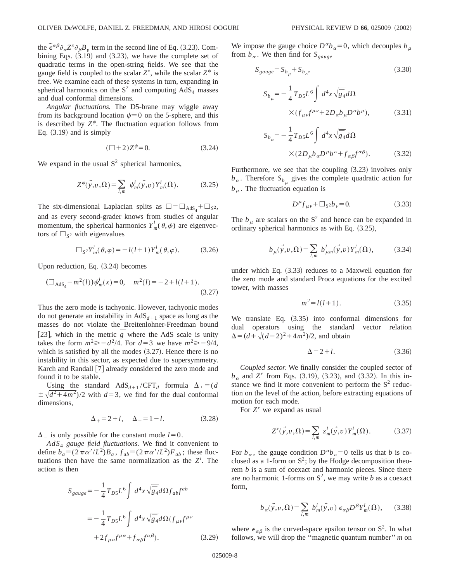the  $\tilde{\epsilon}^{\alpha\beta}\partial_{\alpha}Z^{\alpha}\partial_{\beta}B_{\nu}$  term in the second line of Eq. (3.23). Combining Eqs.  $(3.19)$  and  $(3.23)$ , we have the complete set of quadratic terms in the open-string fields. We see that the gauge field is coupled to the scalar  $Z^x$ , while the scalar  $Z^{\psi}$  is free. We examine each of these systems in turn, expanding in spherical harmonics on the  $S^2$  and computing  $AdS_4$  masses and dual conformal dimensions.

*Angular fluctuations.* The D5-brane may wiggle away from its background location  $\psi=0$  on the 5-sphere, and this is described by  $Z^{\psi}$ . The fluctuation equation follows from Eq.  $(3.19)$  and is simply

$$
(\Box + 2)Z^{\psi} = 0. \tag{3.24}
$$

We expand in the usual  $S<sup>2</sup>$  spherical harmonics,

$$
Z^{\psi}(\vec{y}, v, \Omega) = \sum_{l,m} \psi_m^l(\vec{y}, v) Y_m^l(\Omega). \tag{3.25}
$$

The six-dimensional Laplacian splits as  $\square = \square_{AdS_4} + \square_{S^2}$ , and as every second-grader knows from studies of angular momentum, the spherical harmonics  $Y_m^l(\theta, \phi)$  are eigenvectors of  $\Box$ <sub>S2</sub> with eigenvalues

$$
\Box_{S^2} Y_m^l(\theta, \varphi) = -l(l+1) Y_m^l(\theta, \varphi).
$$
 (3.26)

Upon reduction, Eq.  $(3.24)$  becomes

$$
(\Box_{\text{AdS}_4} - m^2(l))\psi_m^l(x) = 0, \quad m^2(l) = -2 + l(l+1). \tag{3.27}
$$

Thus the zero mode is tachyonic. However, tachyonic modes do not generate an instability in  $AdS<sub>d+1</sub>$  space as long as the masses do not violate the Breitenlohner-Freedman bound [23], which in the metric  $\overline{g}$  where the AdS scale is unity takes the form  $m^2 \ge -d^2/4$ . For  $d=3$  we have  $m^2 \ge -9/4$ , which is satisfied by all the modes  $(3.27)$ . Hence there is no instability in this sector, as expected due to supersymmetry. Karch and Randall [7] already considered the zero mode and found it to be stable.

Using the standard  $AdS_{d+1}/CFT_d$  formula  $\Delta_{\pm} = (d$  $\pm \sqrt{d^2+4m^2}/2$  with  $d=3$ , we find for the dual conformal dimensions,

$$
\Delta_{+} = 2 + l, \quad \Delta_{-} = 1 - l. \tag{3.28}
$$

 $\Delta$ <sub>-</sub> is only possible for the constant mode *l* = 0.

*AdS*<sup>4</sup> *gauge field fluctuations.* We find it convenient to define  $b_a \equiv (2\pi\alpha'/L^2)B_a$ ,  $f_{ab} \equiv (2\pi\alpha'/L^2)F_{ab}$ ; these fluctuations then have the same normalization as the  $Z^i$ . The action is then

$$
S_{gauge} = -\frac{1}{4}T_{DS}L^6 \int d^4x \sqrt{\overline{g}_4} d\Omega f_{ab} f^{ab}
$$

$$
= -\frac{1}{4}T_{DS}L^6 \int d^4x \sqrt{\overline{g}_4} d\Omega (f_{\mu\nu}f^{\mu\nu})
$$

$$
+ 2f_{\mu\alpha}f^{\mu\alpha} + f_{\alpha\beta}f^{\alpha\beta}). \tag{3.29}
$$

We impose the gauge choice  $D^{\alpha}b_{\alpha}=0$ , which decouples  $b_{\mu}$ from  $b_{\alpha}$ . We then find for  $S_{gauge}$ 

$$
S_{gauge} = S_{b_{\mu}} + S_{b_{\alpha}},
$$
\n(3.30)

$$
S_{b_{\mu}} = -\frac{1}{4} T_{D5} L^6 \int d^4 x \sqrt{\overline{g}}_4 d\Omega
$$
  
 
$$
\times (f_{\mu\nu} f^{\mu\nu} + 2D_a b_{\mu} D^{\alpha} b^{\mu}), \qquad (3.31)
$$

$$
S_{b_{\alpha}} = -\frac{1}{4} T_{D5} L^{6} \int d^{4}x \sqrt{\overline{g}_{4}} d\Omega
$$
  
×(2D<sub>*µ*</sub>b<sub>*α*</sub>D<sup>*µ*</sup>b<sub>*α*</sub> + f<sub>*αβ*</sub>f<sup>*αβ*</sup>). (3.32)

Furthermore, we see that the coupling  $(3.23)$  involves only  $b_{\alpha}$ . Therefore  $S_{b_{\alpha}}$  gives the complete quadratic action for  $b<sub>u</sub>$ . The fluctuation equation is

$$
D^{\mu} f_{\mu\nu} + \Box_{S^2} b_{\nu} = 0. \tag{3.33}
$$

The  $b<sub>\mu</sub>$  are scalars on the S<sup>2</sup> and hence can be expanded in ordinary spherical harmonics as with Eq.  $(3.25)$ ,

$$
b_{\mu}(\vec{y}, v, \Omega) = \sum_{l,m} b_{\mu m}^l(\vec{y}, v) Y_m^l(\Omega), \qquad (3.34)
$$

under which Eq.  $(3.33)$  reduces to a Maxwell equation for the zero mode and standard Proca equations for the excited tower, with masses

$$
m^2 = l(l+1).
$$
 (3.35)

We translate Eq.  $(3.35)$  into conformal dimensions for dual operators using the standard vector relation  $\Delta = (d + \sqrt{(d-2)^2 + 4m^2})/2$ , and obtain

$$
\Delta = 2 + l. \tag{3.36}
$$

*Coupled sector.* We finally consider the coupled sector of  $b_{\alpha}$  and  $Z^x$  from Eqs. (3.19), (3.23), and (3.32). In this instance we find it more convenient to perform the  $S<sup>2</sup>$  reduction on the level of the action, before extracting equations of motion for each mode.

For  $Z^x$  we expand as usual

$$
Z^{x}(\vec{y}, v, \Omega) = \sum_{l,m} z_m^l(\vec{y}, v) Y_m^l(\Omega).
$$
 (3.37)

For  $b_{\alpha}$ , the gauge condition  $D^{\alpha}b_{\alpha}=0$  tells us that *b* is coclosed as a 1-form on  $S^2$ ; by the Hodge decomposition theorem *b* is a sum of coexact and harmonic pieces. Since there are no harmonic 1-forms on  $S^2$ , we may write *b* as a coexact form,

$$
b_{\alpha}(\vec{y},v,\Omega) = \sum_{l,m} b_m^l(\vec{y},v) \epsilon_{\alpha\beta} D^{\beta} Y_m^l(\Omega), \quad (3.38)
$$

where  $\epsilon_{\alpha\beta}$  is the curved-space epsilon tensor on S<sup>2</sup>. In what follows, we will drop the ''magnetic quantum number'' *m* on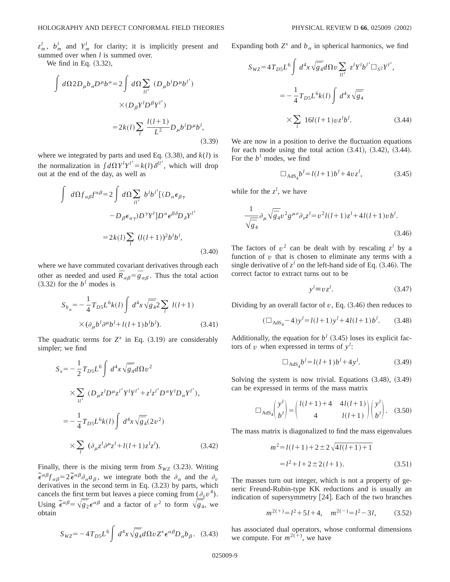$z_m^l$ ,  $b_m^l$  and  $Y_m^l$  for clarity; it is implicitly present and summed over when *l* is summed over.

We find in Eq.  $(3.32)$ ,

$$
\int d\Omega 2D_{\mu}b_{\alpha}D^{\mu}b^{\alpha} = 2 \int d\Omega \sum_{ll'} (D_{\mu}b^{l}D^{\mu}b^{l'})
$$

$$
\times (D_{\beta}Y^{l}D^{\beta}Y^{l'})
$$

$$
= 2k(l) \sum_{l} \frac{l(l+1)}{L^2} D_{\mu}b^{l}D^{\mu}b^{l}, \tag{3.39}
$$

where we integrated by parts and used Eq.  $(3.38)$ , and  $k(l)$  is the normalization in  $\int d\Omega Y'Y'^{'} = k(l)\delta^{ll'}$ , which will drop out at the end of the day, as well as

$$
\int d\Omega f_{\alpha\beta} f^{\alpha\beta} = 2 \int d\Omega \sum_{ll'} b^l b^{l'} [(D_{\alpha} \epsilon_{\beta\gamma} - D_{\beta} \epsilon_{\alpha\gamma}) D^{\gamma} Y^l] D^{\alpha} \epsilon^{\beta\delta} D_{\delta} Y^{l'}
$$

$$
= 2k(l) \sum_{l} (l(l+1))^2 b^l b^l,
$$
(3.40)

where we have commuted covariant derivatives through each other as needed and used  $\overline{R}_{\alpha\beta} = \overline{g}_{\alpha\beta}$ . Thus the total action  $(3.32)$  for the *b*<sup>*l*</sup> modes is

$$
S_{b_{\alpha}} = -\frac{1}{4} T_{D5} L^{6} k(l) \int d^{4}x \sqrt{\overline{g}_{4}} 2 \sum_{l} l(l+1)
$$
  
 
$$
\times (\partial_{\mu} b^{l} \partial^{\mu} b^{l} + l(l+1) b^{l} b^{l}). \qquad (3.41)
$$

The quadratic terms for  $Z^x$  in Eq.  $(3.19)$  are considerably simpler; we find

$$
S_x = -\frac{1}{2}T_{DS}L^6 \int d^4x \sqrt{\overline{g}_4} d\Omega v^2
$$
  
\n
$$
\times \sum_{ll'} (D_{\mu}z^l D^{\mu}z^{l'} Y^l Y^{l'} + z^l z^{l'} D^{\alpha} Y^l D_{\alpha} Y^{l'}),
$$
  
\n
$$
= -\frac{1}{4}T_{DS}L^6k(l) \int d^4x \sqrt{\overline{g}_4}(2v^2)
$$
  
\n
$$
\times \sum_{l} (\partial_{\mu}z^l \partial^{\mu}z^l + l(l+1)z^l z^l).
$$
 (3.42)

Finally, there is the mixing term from  $S_{WZ}$  (3.23). Writing  $\tilde{\epsilon}^{\alpha\beta} f_{\alpha\beta} = 2 \tilde{\epsilon}^{\alpha\beta} \partial_{\alpha} a_{\beta}$ , we integrate both the  $\partial_{\alpha}$  and the  $\partial_{\nu}$ derivatives in the second term in Eq.  $(3.23)$  by parts, which cancels the first term but leaves a piece coming from  $(\partial_v v^4)$ . Using  $\tilde{\epsilon}^{\alpha\beta} = \sqrt{\frac{2}{g_2}} \epsilon^{\alpha\beta}$  and a factor of  $v^2$  to form  $\sqrt{\frac{2}{g_4}}$ , we obtain

$$
S_{WZ} = -4T_{D5}L^6 \int d^4x \sqrt{\overline{g}_4} d\Omega v Z^x \epsilon^{\alpha\beta} D_\alpha b_\beta. \quad (3.43)
$$

Expanding both  $Z^x$  and  $b_\alpha$  in spherical harmonics, we find

$$
S_{WZ} = 4T_{D5}L^6 \int d^4x \sqrt{\overline{g}_4} d\Omega v \sum_{ll'} z^l Y^l b^{l'} \square_{S^2} Y^{l'},
$$
  

$$
= -\frac{1}{4} T_{D5} L^6 k(l) \int d^4x \sqrt{\overline{g}_4}
$$
  

$$
\times \sum_{l} 16l(l+1)v z^l b^l.
$$
 (3.44)

We are now in a position to derive the fluctuation equations for each mode using the total action  $(3.41)$ ,  $(3.42)$ ,  $(3.44)$ . For the  $b^l$  modes, we find

$$
\Box_{\text{AdS}_4} b^l = l(l+1)b^l + 4vz^l, \tag{3.45}
$$

while for the  $z^l$ , we have

$$
\frac{1}{\sqrt{\bar{g}}_4} \partial_\mu \sqrt{\bar{g}}_4 v^2 g^{\mu\nu} \partial_\nu z^l = v^2 l(l+1) z^l + 4l(l+1) v b^l.
$$
\n(3.46)

The factors of  $v^2$  can be dealt with by rescaling  $z^l$  by a function of *v* that is chosen to eliminate any terms with a single derivative of  $z^l$  on the left-hand side of Eq. (3.46). The correct factor to extract turns out to be

$$
y^l \equiv v z^l. \tag{3.47}
$$

Dividing by an overall factor of  $v$ , Eq.  $(3.46)$  then reduces to

$$
(\Box_{\text{AdS}_4} - 4) y^l = l(l+1) y^l + 4l(l+1)b^l. \tag{3.48}
$$

Additionally, the equation for  $b^l$  (3.45) loses its explicit factors of *v* when expressed in terms of  $y^l$ :

$$
\Box_{\text{AdS}_4} b^l = l(l+1)b^l + 4y^l. \tag{3.49}
$$

Solving the system is now trivial. Equations  $(3.48)$ ,  $(3.49)$ can be expressed in terms of the mass matrix

$$
\Box_{\text{AdS}_4} \begin{pmatrix} y^l \\ b^l \end{pmatrix} = \begin{pmatrix} l(l+1) + 4 & 4l(l+1) \\ 4 & l(l+1) \end{pmatrix} \begin{pmatrix} y^l \\ b^l \end{pmatrix}.
$$
 (3.50)

The mass matrix is diagonalized to find the mass eigenvalues

$$
m2 = l(l+1) + 2 \pm 2\sqrt{4l(l+1) + 1}
$$

$$
= l2 + l + 2 \pm 2(l+1).
$$
 (3.51)

The masses turn out integer, which is not a property of generic Freund-Rubin-type KK reductions and is usually an indication of supersymmetry [24]. Each of the two branches

$$
m^{2(+)} = l^2 + 5l + 4, \quad m^{2(-)} = l^2 - 3l, \tag{3.52}
$$

has associated dual operators, whose conformal dimensions we compute. For  $m^{2(\pm)}$ , we have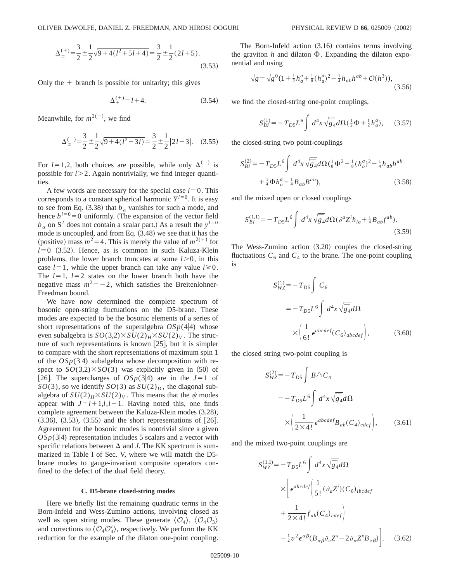$$
\Delta_{\pm}^{(+)} = \frac{3}{2} \pm \frac{1}{2} \sqrt{9 + 4(l^2 + 5l + 4)} = \frac{3}{2} \pm \frac{1}{2} (2l + 5).
$$
\n(3.53)

Only the  $+$  branch is possible for unitarity; this gives

$$
\Delta_{+}^{(+)} = l + 4. \tag{3.54}
$$

Meanwhile, for  $m^{2(-)}$ , we find

$$
\Delta_{\pm}^{(-)} = \frac{3}{2} \pm \frac{1}{2} \sqrt{9 + 4(l^2 - 3l)} = \frac{3}{2} \pm \frac{1}{2} |2l - 3|.
$$
 (3.55)

For  $l=1,2$ , both choices are possible, while only  $\Delta_{+}^{(-)}$  is possible for *l* > 2. Again nontrivially, we find integer quantities.

A few words are necessary for the special case  $l=0$ . This corresponds to a constant spherical harmonic  $Y^{l=0}$ . It is easy to see from Eq.  $(3.38)$  that  $b_\alpha$  vanishes for such a mode, and hence  $b^{1}=0$  uniformly. (The expansion of the vector field  $b_{\alpha}$  on S<sup>2</sup> does not contain a scalar part.) As a result the  $y^{l=0}$ mode is uncoupled, and from Eq.  $(3.48)$  we see that it has the (positive) mass  $m^2$ =4. This is merely the value of  $m^{2(+)}$  for  $l=0$  (3.52). Hence, as is common in such Kaluza-Klein problems, the lower branch truncates at some  $l > 0$ , in this case  $l=1$ , while the upper branch can take any value  $l \ge 0$ . The  $l=1$ ,  $l=2$  states on the lower branch both have the negative mass  $m^2 = -2$ , which satisfies the Breitenlohner-Freedman bound.

We have now determined the complete spectrum of bosonic open-string fluctuations on the D5-brane. These modes are expected to be the bosonic elements of a series of short representations of the superalgebra  $OSp(4|4)$  whose even subalgebra is  $SO(3,2) \times SU(2)_H \times SU(2)_V$ . The structure of such representations is known  $[25]$ , but it is simpler to compare with the short representations of maximum spin 1 of the  $OSp(3|4)$  subalgebra whose decomposition with respect to  $SO(3,2)\times SO(3)$  was explicitly given in (50) of [26]. The supercharges of  $OSp(3|4)$  are in the  $J=1$  of  $SO(3)$ , so we identify  $SO(3)$  as  $SU(2)_D$ , the diagonal subalgebra of  $SU(2)_H$ × $SU(2)_V$ . This means that the  $\psi$  modes appear with  $J=l+1, l, l-1$ . Having noted this, one finds complete agreement between the Kaluza-Klein modes  $(3.28)$ ,  $(3.36)$ ,  $(3.53)$ ,  $(3.55)$  and the short representations of  $[26]$ . Agreement for the bosonic modes is nontrivial since a given  $OSp(3|4)$  representation includes 5 scalars and a vector with specific relations between  $\Delta$  and *J*. The KK spectrum is summarized in Table I of Sec. V, where we will match the D5 brane modes to gauge-invariant composite operators confined to the defect of the dual field theory.

#### **C. D5-brane closed-string modes**

Here we briefly list the remaining quadratic terms in the Born-Infeld and Wess-Zumino actions, involving closed as well as open string modes. These generate  $\langle \mathcal{O}_4 \rangle$ ,  $\langle \mathcal{O}_4 \mathcal{O}_3 \rangle$ and corrections to  $\langle \mathcal{O}_4 \mathcal{O}'_4 \rangle$ , respectively. We perform the KK reduction for the example of the dilaton one-point coupling.

The Born-Infeld action  $(3.16)$  contains terms involving the graviton  $h$  and dilaton  $\Phi$ . Expanding the dilaton exponential and using

$$
\sqrt{g} = \sqrt{g^0} \left( 1 + \frac{1}{2} h_a^a + \frac{1}{8} (h_a^a)^2 - \frac{1}{4} h_{ab} h^{ab} + \mathcal{O}(h^3) \right),\tag{3.56}
$$

we find the closed-string one-point couplings,

$$
S_{BI}^{(1)} = -T_{DS}L^6 \int d^4x \sqrt{\bar{g}_4} d\Omega \left(\frac{1}{2}\Phi + \frac{1}{2}h_a^a\right), \quad (3.57)
$$

the closed-string two point-couplings

$$
S_{BI}^{(2)} = -T_{D5}L^6 \int d^4x \sqrt{\overline{g}_4} d\Omega \left(\frac{1}{8}\Phi^2 + \frac{1}{8}(h_a^a)^2 - \frac{1}{4}h_{ab}h^{ab} + \frac{1}{4}\Phi h_a^a + \frac{1}{4}B_{ab}B^{ab}\right),
$$
\n(3.58)

and the mixed open or closed couplings

$$
S_{BI}^{(1,1)} = -T_{DS}L^6 \int d^4x \sqrt{\bar{g}_4} d\Omega (\partial^a Z^i h_{ia} + \frac{1}{4} B_{ab} f^{ab}). \tag{3.59}
$$

The Wess-Zumino action  $(3.20)$  couples the closed-string fluctuations  $C_6$  and  $C_4$  to the brane. The one-point coupling is

$$
S_{WZ}^{(1)} = -T_{D5} \int C_6
$$
  
=  $-T_{D5}L^6 \int d^4x \sqrt{\overline{g}_4} d\Omega$   
 $\times \left( \frac{1}{6!} \epsilon^{abcdef} (C_6)_{abcdef} \right),$  (3.60)

the closed string two-point coupling is

$$
S_{WZ}^{(2)} = -T_{DS} \int B \wedge C_4
$$
  
=  $-T_{DS} L^6 \int d^4x \sqrt{\overline{g}}_4 d\Omega$   
 $\times \left( \frac{1}{2 \times 4!} \epsilon^{abcdef} B_{ab} (C_4)_{cdef} \right),$  (3.61)

and the mixed two-point couplings are

$$
S_{WZ}^{(1,1)} = -T_{D5}L^6 \int d^4x \sqrt{\overline{g}_4} d\Omega
$$
  
 
$$
\times \left[ \epsilon^{abcdef} \left( \frac{1}{5!} (\partial_a Z^i)(C_6)_{ibcdef} + \frac{1}{2 \times 4!} f_{ab}(C_4)_{cdef} \right) - \frac{1}{2} v^2 \epsilon^{\alpha \beta} (B_{\alpha \beta} \partial_v Z^x - 2 \partial_\alpha Z^x B_{v\beta}) \right].
$$
 (3.62)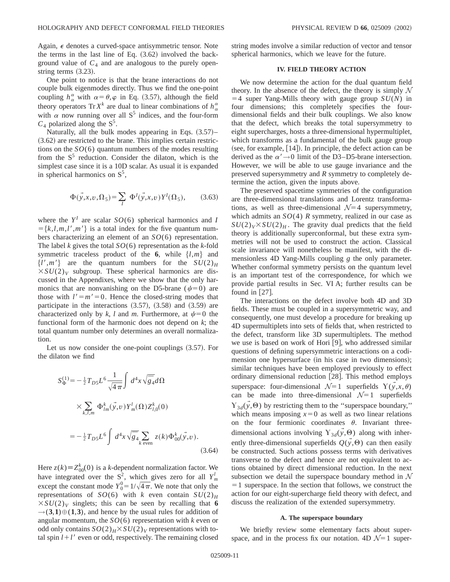Again,  $\epsilon$  denotes a curved-space antisymmetric tensor. Note the terms in the last line of Eq.  $(3.62)$  involved the background value of  $C_4$  and are analogous to the purely openstring terms  $(3.23)$ .

One point to notice is that the brane interactions do not couple bulk eigenmodes directly. Thus we find the one-point coupling  $h_{\alpha}^{\alpha}$  with  $\alpha = \theta, \varphi$  in Eq. (3.57), although the field theory operators Tr  $X^k$  are dual to linear combinations of  $h^{\alpha}_{\alpha}$ with  $\alpha$  now running over all S<sup>5</sup> indices, and the four-form  $C_4$  polarized along the  $S^5$ .

Naturally, all the bulk modes appearing in Eqs.  $(3.57)$ –  $(3.62)$  are restricted to the brane. This implies certain restrictions on the *SO*(6) quantum numbers of the modes resulting from the  $S<sup>5</sup>$  reduction. Consider the dilaton, which is the simplest case since it is a 10D scalar. As usual it is expanded in spherical harmonics on  $S<sup>5</sup>$ ,

$$
\Phi(\vec{y}, x, v, \Omega_5) = \sum_{I} \Phi^I(\vec{y}, x, v) Y^I(\Omega_5), \quad (3.63)
$$

where the  $Y^I$  are scalar  $SO(6)$  spherical harmonics and *I*  $=\{k,l,m,l',m'\}\$ is a total index for the five quantum numbers characterizing an element of an *SO*(6) representation. The label *k* gives the total *SO*(6) representation as the *k*-fold symmetric traceless product of the **6**, while  $\{l,m\}$  and  $\{l', m'\}$  are the quantum numbers for the  $SU(2)_H$  $\times SU(2)_V$  subgroup. These spherical harmonics are discussed in the Appendixes, where we show that the only harmonics that are nonvanishing on the D5-brane ( $\psi$ =0) are those with  $l' = m' = 0$ . Hence the closed-string modes that participate in the interactions  $(3.57)$ ,  $(3.58)$  and  $(3.59)$  are characterized only by *k*, *l* and *m*. Furthermore, at  $\psi = 0$  the functional form of the harmonic does not depend on *k*; the total quantum number only determines an overall normalization.

Let us now consider the one-point couplings  $(3.57)$ . For the dilaton we find

$$
S_{\Phi}^{(1)} = -\frac{1}{2}T_{D5}L^{6}\frac{1}{\sqrt{4\pi}}\int d^{4}x\sqrt{\overline{g}_{4}}d\Omega
$$
  

$$
\times \sum_{k,l,m} \Phi_{lm}^{k}(\vec{y},v)Y_{m}^{l}(\Omega)Z_{l,0}^{k}(0)
$$
  

$$
= -\frac{1}{2}T_{D5}L^{6}\int d^{4}x\sqrt{\overline{g}_{4}}\sum_{k \text{ even}}z(k)\Phi_{00}^{k}(\vec{y},v).
$$
 (3.64)

Here  $z(k) \equiv Z_{00}^k(0)$  is a *k*-dependent normalization factor. We have integrated over the  $S^2$ , which gives zero for all  $Y^l_m$ except the constant mode  $Y_0^0 = 1/\sqrt{4\pi}$ . We note that only the representations of *SO*(6) with *k* even contain  $SU(2)_H$  $\times SU(2)_V$  singlets; this can be seen by recalling that **6**  $\rightarrow$  (3,1)  $\oplus$  (1,3), and hence by the usual rules for addition of angular momentum, the *SO*(6) representation with *k* even or odd only contains  $SO(2)_H$  $\times$  *SU*(2)<sub>*V*</sub> representations with total spin  $l+l'$  even or odd, respectively. The remaining closed string modes involve a similar reduction of vector and tensor spherical harmonics, which we leave for the future.

# **IV. FIELD THEORY ACTION**

We now determine the action for the dual quantum field theory. In the absence of the defect, the theory is simply  $\mathcal N$  $=$  4 super Yang-Mills theory with gauge group *SU(N)* in four dimensions; this completely specifies the fourdimensional fields and their bulk couplings. We also know that the defect, which breaks the total supersymmetry to eight supercharges, hosts a three-dimensional hypermultiplet, which transforms as a fundamental of the bulk gauge group  $(see, for example,  $[14]$ ). In principle, the defect action can be$ derived as the  $\alpha' \rightarrow 0$  limit of the D3–D5-brane intersection. However, we will be able to use gauge invariance and the preserved supersymmetry and *R* symmetry to completely determine the action, given the inputs above.

The preserved spacetime symmetries of the configuration are three-dimensional translations and Lorentz transformations, as well as three-dimensional  $\mathcal{N}=4$  supersymmetry, which admits an  $SO(4)$  *R* symmetry, realized in our case as  $SU(2)_V\times SU(2)_H$ . The gravity dual predicts that the field theory is additionally superconformal, but these extra symmetries will not be used to construct the action. Classical scale invariance will nonetheless be manifest, with the dimensionless 4D Yang-Mills coupling *g* the only parameter. Whether conformal symmetry persists on the quantum level is an important test of the correspondence, for which we provide partial results in Sec. VI A; further results can be found in  $|27|$ .

The interactions on the defect involve both 4D and 3D fields. These must be coupled in a supersymmetric way, and consequently, one must develop a procedure for breaking up 4D supermultiplets into sets of fields that, when restricted to the defect, transform like 3D supermultiplets. The method we use is based on work of Hori  $[9]$ , who addressed similar questions of defining supersymmetric interactions on a codimension one hypersurface (in his case in two dimensions); similar techniques have been employed previously to effect ordinary dimensional reduction [28]. This method employs superspace: four-dimensional  $\mathcal{N}=1$  superfields  $\Upsilon(y,x,\theta)$ can be made into three-dimensional  $\mathcal{N}=1$  superfields  $\gamma_{3d}(\vec{y},\Theta)$  by restricting them to the "superspace boundary," which means imposing  $x=0$  as well as two linear relations on the four fermionic coordinates  $\theta$ . Invariant threedimensional actions involving  $Y_{3d}(y, \Theta)$  along with inherently three-dimensional superfields  $Q(y, \Theta)$  can then easily be constructed. Such actions possess terms with derivatives transverse to the defect and hence are not equivalent to actions obtained by direct dimensional reduction. In the next subsection we detail the superspace boundary method in  $\mathcal N$  $=1$  superspace. In the section that follows, we construct the action for our eight-supercharge field theory with defect, and discuss the realization of the extended supersymmetry.

#### **A. The superspace boundary**

We briefly review some elementary facts about superspace, and in the process fix our notation.  $4D\mathcal{N}=1$  super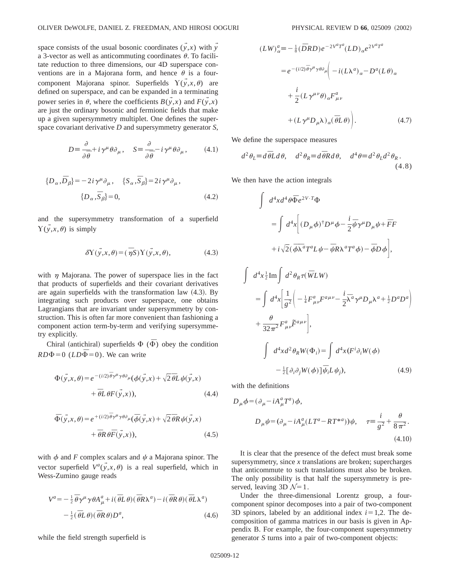space consists of the usual bosonic coordinates  $(y, x)$  with  $\overline{y}$ a 3-vector as well as anticommuting coordinates  $\theta$ . To facilitate reduction to three dimensions, our 4D superspace conventions are in a Majorana form, and hence  $\theta$  is a fourcomponent Majorana spinor. Superfields  $\Upsilon(\vec{y},x,\theta)$  are defined on superspace, and can be expanded in a terminating power series in  $\theta$ , where the coefficients  $B(\vec{v},x)$  and  $F(\vec{v},x)$ are just the ordinary bosonic and fermionic fields that make up a given supersymmetry multiplet. One defines the superspace covariant derivative *D* and supersymmetry generator *S*,

$$
D = \frac{\partial}{\partial \overline{\theta}} + i \gamma^{\mu} \theta \partial_{\mu}, \quad S = \frac{\partial}{\partial \overline{\theta}} - i \gamma^{\mu} \theta \partial_{\mu}, \quad (4.1)
$$

$$
\{D_{\alpha}, \bar{D}_{\beta}\} = -2i\gamma^{\mu}\partial_{\mu}, \quad \{S_{\alpha}, \bar{S}_{\beta}\} = 2i\gamma^{\mu}\partial_{\mu},
$$

$$
\{D_{\alpha}, \bar{S}_{\beta}\} = 0,
$$
(4.2)

and the supersymmetry transformation of a superfield  $Y(y,x,\theta)$  is simply

$$
\delta Y(\vec{y},x,\theta) = (\overline{\eta}S)Y(\vec{y},x,\theta), \qquad (4.3)
$$

with  $\eta$  Majorana. The power of superspace lies in the fact that products of superfields and their covariant derivatives are again superfields with the transformation law  $(4.3)$ . By integrating such products over superspace, one obtains Lagrangians that are invariant under supersymmetry by construction. This is often far more convenient than fashioning a component action term-by-term and verifying supersymmetry explicitly.

Chiral (antichiral) superfields  $\Phi$  ( $\overline{\Phi}$ ) obey the condition  $RD\Phi=0$  ( $LD\overline{\Phi}=0$ ). We can write

$$
\Phi(\vec{y},x,\theta) = e^{-(i/2)\vec{\theta}\gamma^{\mu}\gamma\theta\partial_{\mu}}(\phi(\vec{y},x) + \sqrt{2}\vec{\theta}L\psi(\vec{y},x) \n+ \vec{\theta}L\theta F(\vec{y},x)),
$$
\n(4.4)

$$
\begin{split} \bar{\Phi}(\vec{y},x,\theta) &= e^{+(i/2)\,\bar{\theta}\gamma^{\mu}\gamma\theta\partial_{\mu}}(\bar{\phi}(\vec{y},x) + \sqrt{2}\,\bar{\theta}R\,\psi(\vec{y},x) \\ &+ \bar{\theta}R\,\theta\bar{F}(\vec{y},x)), \end{split} \tag{4.5}
$$

with  $\phi$  and *F* complex scalars and  $\psi$  a Majorana spinor. The vector superfield  $V^a(\vec{y},x,\theta)$  is a real superfield, which in Wess-Zumino gauge reads

$$
V^{a} = -\frac{1}{2}\overline{\theta}\gamma^{\mu}\gamma\theta A^{a}_{\mu} + i(\overline{\theta}L\theta)(\overline{\theta}R\lambda^{a}) - i(\overline{\theta}R\theta)(\overline{\theta}L\lambda^{a})
$$

$$
-\frac{1}{2}(\overline{\theta}L\theta)(\overline{\theta}R\theta)D^{a}, \qquad (4.6)
$$

while the field strength superfield is

$$
(LW)_{\alpha}^{a} = -\frac{1}{8} (\bar{D}RD) e^{-2V^{a}T^{a}} (LD)_{\alpha} e^{2V^{a}T^{a}}
$$

$$
= e^{-(i/2)\bar{\theta}\gamma^{\mu}\gamma\theta\partial_{\mu}} \Biggl( -i(L\lambda^{a})_{\alpha} - D^{a}(L\theta)_{\alpha}
$$

$$
+ \frac{i}{2} (L\gamma^{\mu\nu}\theta)_{\alpha} F^{a}_{\mu\nu}
$$

$$
+ (L\gamma^{\mu}D_{\mu}\lambda)_{\alpha} (\bar{\theta}L\theta) \Biggr).
$$
(4.7)

We define the superspace measures

$$
d^2\theta_L \equiv d\overline{\theta}Ld\theta, \quad d^2\theta_R \equiv d\overline{\theta}Rd\theta, \quad d^4\theta \equiv d^2\theta_Ld^2\theta_R. \tag{4.8}
$$

We then have the action integrals

$$
\int d^4x d^4\theta \overline{\Phi} e^{2V \cdot T} \Phi
$$
\n
$$
= \int d^4x \Bigg[ (D_\mu \phi)^{\dagger} D^\mu \phi - \frac{i}{2} \overline{\psi} \gamma^\mu D_\mu \psi + \overline{F} F
$$
\n
$$
+ i \sqrt{2} (\overline{\phi} \overline{\lambda}^a T^a L \psi - \overline{\psi} R \lambda^a T^a \phi) - \overline{\phi} D \phi \Bigg],
$$
\n
$$
\int d^4x \frac{1}{2} \text{Im} \int d^2 \theta_R \tau (\overline{W} L W)
$$
\n
$$
= \int d^4x \Bigg[ \frac{1}{g^2} \Bigg( -\frac{1}{4} F^a_{\mu\nu} F^{a\mu\nu} - \frac{i}{2} \overline{\lambda}^a \gamma^\mu D_\mu \lambda^a + \frac{1}{2} D^a D^a \Bigg)
$$
\n
$$
+ \frac{\theta}{32\pi^2} F^a_{\mu\nu} \overline{F}^{a\mu\nu} \Bigg],
$$
\n
$$
\int d^4x d^2 \theta_R W(\Phi_i) = \int d^4x (F^i \partial_i W(\phi))
$$
\n
$$
- \frac{1}{2} [\partial_i \partial_j W(\phi)] \overline{\psi}_i L \psi_j), \tag{4.9}
$$

with the definitions

$$
D_{\mu}\phi = (\partial_{\mu} - iA_{\mu}^{a}T^{a})\phi,
$$
  
\n
$$
D_{\mu}\psi = (\partial_{\mu} - iA_{\mu}^{a}(LT^{a} - RT^{*a}))\psi, \quad \tau = \frac{i}{g^{2}} + \frac{\theta}{8\pi^{2}}.
$$
  
\n(4.10)

It is clear that the presence of the defect must break some supersymmetry, since *x* translations are broken; supercharges that anticommute to such translations must also be broken. The only possibility is that half the supersymmetry is preserved, leaving 3D  $\mathcal{N}=1$ .

Under the three-dimensional Lorentz group, a fourcomponent spinor decomposes into a pair of two-component 3D spinors, labeled by an additional index  $i=1,2$ . The decomposition of gamma matrices in our basis is given in Appendix B. For example, the four-component supersymmetry generator *S* turns into a pair of two-component objects: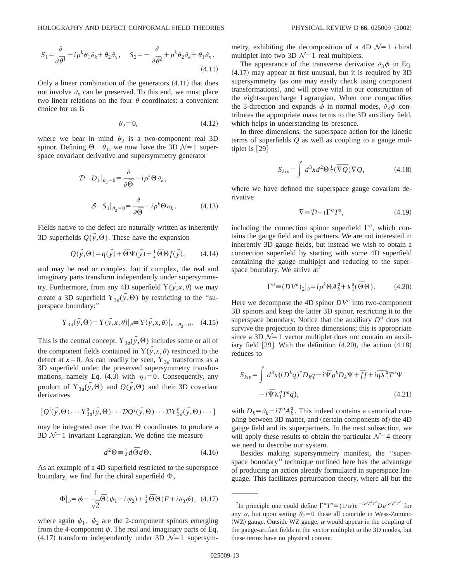$$
S_1 = \frac{\partial}{\partial \overline{\theta}^1} - i \rho^k \theta_1 \partial_k + \theta_2 \partial_x, \quad S_2 = -\frac{\partial}{\partial \overline{\theta}^2} + \rho^k \theta_2 \partial_k + \theta_1 \partial_x.
$$
\n(4.11)

Only a linear combination of the generators  $(4.11)$  that does not involve  $\partial_x$  can be preserved. To this end, we must place two linear relations on the four  $\theta$  coordinates: a convenient choice for us is

$$
\theta_2 = 0,\tag{4.12}
$$

where we bear in mind  $\theta_2$  is a two-component real 3D spinor. Defining  $\Theta = \theta_1$ , we now have the 3D  $\mathcal{N}=1$  superspace covariant derivative and supersymmetry generator

$$
\mathcal{D} \equiv D_1|_{\theta_2 = 0} = \frac{\partial}{\partial \overline{\Theta}} + i \rho^k \Theta \partial_k,
$$
  

$$
\mathcal{S} \equiv S_1|_{\theta_2 = 0} = \frac{\partial}{\partial \overline{\Theta}} - i \rho^k \Theta \partial_k.
$$
 (4.13)

Fields native to the defect are naturally written as inherently 3D superfields  $Q(\vec{y},\Theta)$ . These have the expansion

$$
Q(\vec{y},\Theta) = q(\vec{y}) + \overline{\Theta} \Psi(\vec{y}) + \frac{1}{2} \overline{\Theta} \Theta f(\vec{y}), \qquad (4.14)
$$

and may be real or complex, but if complex, the real and imaginary parts transform independently under supersymmetry. Furthermore, from any 4D superfield  $\Upsilon(\vec{y},x,\theta)$  we may create a 3D superfield  $Y_{3d}(\vec{y},\Theta)$  by restricting to the "superspace boundary:''

$$
\Upsilon_{3d}(\vec{y},\Theta) = \Upsilon(\vec{y},x,\theta)|_{\partial} = \Upsilon(\vec{y},x,\theta)|_{x=\theta_2=0}.
$$
 (4.15)

This is the central concept.  $Y_{3d}(\vec{y},\Theta)$  includes some or all of the component fields contained in  $\Upsilon(\vec{y},x,\theta)$  restricted to the defect at  $x=0$ . As can readily be seen,  $Y_{3d}$  transforms as a 3D superfield under the preserved supersymmetry transformations, namely Eq. (4.3) with  $\eta_2=0$ . Consequently, any product of  $Y_{3d}(\vec{y},\Theta)$  and  $Q(\vec{y},\Theta)$  and their 3D covariant derivatives

$$
[Q^i(\vec{y},\Theta)\cdots Y^a_{3d}(\vec{y},\Theta)\cdots \mathcal{D}Q^j(\vec{y},\Theta)\cdots \mathcal{D}Y^b_{3d}(\vec{y},\Theta)\cdots]
$$

may be integrated over the two  $\Theta$  coordinates to produce a 3D  $\mathcal{N}=1$  invariant Lagrangian. We define the measure

$$
d^2\Theta \equiv \frac{1}{2}d\bar{\Theta}d\Theta. \tag{4.16}
$$

As an example of a 4D superfield restricted to the superspace boundary, we find for the chiral superfield  $\Phi$ ,

$$
\Phi|_{\partial} = \phi + \frac{1}{\sqrt{2}} \overline{\Theta} (\psi_1 - i \psi_2) + \frac{1}{2} \overline{\Theta} \Theta (F + i \partial_3 \phi), \quad (4.17)
$$

where again  $\psi_1$ ,  $\psi_2$  are the 2-component spinors emerging from the 4-component  $\psi$ . The real and imaginary parts of Eq.  $(4.17)$  transform independently under 3D  $\mathcal{N}=1$  supersymmetry, exhibiting the decomposition of a 4D  $\mathcal{N}=1$  chiral multiplet into two 3D  $\mathcal{N}=1$  real multiplets.

The appearance of the transverse derivative  $\partial_3 \phi$  in Eq.  $(4.17)$  may appear at first unusual, but it is required by 3D supersymmetry (as one may easily check using component transformations), and will prove vital in our construction of the eight-supercharge Lagrangian. When one compactifies the 3-direction and expands  $\phi$  in normal modes,  $\partial_3 \phi$  contributes the appropriate mass terms to the 3D auxiliary field, which helps in understanding its presence.

In three dimensions, the superspace action for the kinetic terms of superfields *Q* as well as coupling to a gauge multiplet is  $[29]$ 

$$
S_{kin} = \int d^3x d^2\Theta \frac{1}{2} (\overline{\nabla Q}) \nabla Q, \qquad (4.18)
$$

where we have defined the superspace gauge covariant derivative

$$
\nabla \equiv \mathcal{D} - i\Gamma^a T^a,\tag{4.19}
$$

including the connection spinor superfield  $\Gamma^a$ , which contains the gauge field and its partners. We are not interested in inherently 3D gauge fields, but instead we wish to obtain a connection superfield by starting with some 4D superfield containing the gauge multiplet and reducing to the superspace boundary. We arrive  $at'$ 

$$
\Gamma^a \equiv (DV^a)_2|_{\partial} = i\rho^k \Theta A_k^a + \lambda_1^a(\bar{\Theta}\Theta). \tag{4.20}
$$

Here we decompose the 4D spinor  $DV^a$  into two-component 3D spinors and keep the latter 3D spinor, restricting it to the superspace boundary. Notice that the auxiliary  $D<sup>a</sup>$  does not survive the projection to three dimensions; this is appropriate since a 3D  $\mathcal{N}=1$  vector multiplet does not contain an auxiliary field  $[29]$ . With the definition  $(4.20)$ , the action  $(4.18)$ reduces to

$$
S_{kin} = \int d^3x \left( (D^k q)^{\dagger} D_k q - i \bar{\Psi} \rho^k D_k \Psi + \bar{f} f + i \bar{q} \bar{\lambda}_1^a T^a \Psi - i \bar{\Psi} \lambda_1^a T^a q \right),
$$
\n(4.21)

with  $D_k = \partial_k - iT^a A_k^a$ . This indeed contains a canonical coupling between 3D matter, and (certain components of) the 4D gauge field and its superpartners. In the next subsection, we will apply these results to obtain the particular  $\mathcal{N}=4$  theory we need to describe our system.

Besides making supersymmetry manifest, the ''superspace boundary'' technique outlined here has the advantage of producing an action already formulated in superspace language. This facilitates perturbation theory, where all but the

<sup>&</sup>lt;sup>7</sup>In principle one could define  $\Gamma^a T^a \equiv (1/\alpha)e^{-i\alpha V^a T^a} D e^{i\alpha V^a T^a}$  for any  $\alpha$ , but upon setting  $\theta_2 = 0$  these all coincide in Wess-Zumino (WZ) gauge. Outside WZ gauge,  $\alpha$  would appear in the coupling of the gauge-artifact fields in the vector multiplet to the 3D modes, but these terms have no physical content.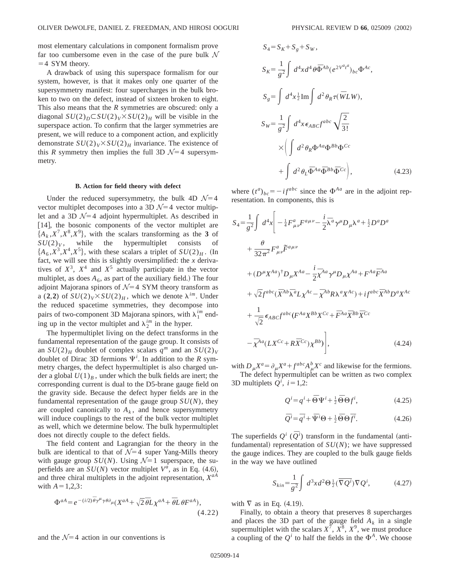most elementary calculations in component formalism prove far too cumbersome even in the case of the pure bulk  $\mathcal N$  $=4$  SYM theory.

A drawback of using this superspace formalism for our system, however, is that it makes only one quarter of the supersymmetry manifest: four supercharges in the bulk broken to two on the defect, instead of sixteen broken to eight. This also means that the *R* symmetries are obscured: only a diagonal  $SU(2)_D \subset SU(2)_V \times SU(2)_H$  will be visible in the superspace action. To confirm that the larger symmetries are present, we will reduce to a component action, and explicitly demonstrate  $SU(2)_V \times SU(2)_H$  invariance. The existence of this *R* symmetry then implies the full 3D  $\mathcal{N}=4$  supersymmetry.

# **B. Action for field theory with defect**

Under the reduced supersymmetry, the bulk 4D  $\mathcal{N}=4$ vector multiplet decomposes into a 3D  $\mathcal{N}=4$  vector multiplet and a 3D  $\mathcal{N}=4$  adjoint hypermultiplet. As described in [14], the bosonic components of the vector multiplet are  ${A_k, X^7, X^8, X^9}$ , with the scalars transforming as the **3** of  $SU(2)_V$ , while the hypermultiplet consists of  ${A_6, X^3, X^4, X^5}$ , with these scalars a triplet of  $SU(2)_H$ . (In fact, we will see this is slightly oversimplified: the *x* derivatives of  $X^3$ ,  $X^4$  and  $X^5$  actually participate in the vector multiplet, as does  $A_6$ , as part of the auxiliary field.) The four adjoint Majorana spinors of  $\mathcal{N}=4$  SYM theory transform as a (2,2) of  $SU(2)_V \times SU(2)_H$ , which we denote  $\lambda^{im}$ . Under the reduced spacetime symmetries, they decompose into pairs of two-component 3D Majorana spinors, with  $\lambda_1^{im}$  ending up in the vector multiplet and  $\lambda_2^{im}$  in the hyper.

The hypermultiplet living on the defect transforms in the fundamental representation of the gauge group. It consists of an  $SU(2)_H$  doublet of complex scalars  $q^m$  and an  $SU(2)_V$ doublet of Dirac 3D fermions  $\Psi^i$ . In addition to the *R* symmetry charges, the defect hypermultiplet is also charged under a global  $U(1)_B$ , under which the bulk fields are inert; the corresponding current is dual to the D5-brane gauge field on the gravity side. Because the defect hyper fields are in the fundamental representation of the gauge group  $SU(N)$ , they are coupled canonically to  $A_k$ , and hence supersymmetry will induce couplings to the rest of the bulk vector multiplet as well, which we determine below. The bulk hypermultiplet does not directly couple to the defect fields.

The field content and Lagrangian for the theory in the bulk are identical to that of  $\mathcal{N}=4$  super Yang-Mills theory with gauge group  $SU(N)$ . Using  $\mathcal{N}=1$  superspace, the superfields are an  $SU(N)$  vector multiplet  $V^a$ , as in Eq. (4.6), and three chiral multiplets in the adjoint representation, *XaA* with  $A=1,2,3$ :

$$
\Phi^{aA} = e^{-(i/2)\overline{\theta}\gamma^{\mu}\gamma\theta\partial_{\mu}}(X^{aA} + \sqrt{2}\overline{\theta}L\chi^{aA} + \overline{\theta}L\theta F^{aA}),
$$
\n(4.22)

and the  $\mathcal{N}=4$  action in our conventions is

$$
S_4 = S_K + S_g + S_W,
$$
  
\n
$$
S_K = \frac{1}{g^2} \int d^4x d^4\theta \Phi^{Ab} (e^{2V^{a}t^a})_{bc} \Phi^{Ac},
$$
  
\n
$$
S_g = \int d^4x \frac{1}{2} \text{Im} \int d^2\theta_R \tau (\overline{W}LW),
$$
  
\n
$$
S_W = \frac{1}{g^2} \int d^4x \epsilon_{ABC} f^{abc} \sqrt{\frac{2}{3!}}
$$
  
\n
$$
\times \left( \int d^2\theta_R \Phi^{Aa} \Phi^{Bb} \Phi^{Cc} + \int d^2\theta_L \overline{\Phi}^{Aa} \overline{\Phi}^{Bb} \overline{\Phi}^{Cc} \right),
$$
\n(4.23)

where  $(t^a)_{bc} = -i f^{abc}$  since the  $\Phi^{Aa}$  are in the adjoint representation. In components, this is

$$
S_4 = \frac{1}{g^2} \int d^4x \Bigg[ -\frac{1}{4} F^a_{\mu\nu} F^{a\mu\nu} - \frac{i}{2} \overline{\lambda}^a \gamma^\mu D_\mu \lambda^a + \frac{1}{2} D^a D^a
$$
  
+ 
$$
\frac{\theta}{32 \pi^2} F^a_{\mu\nu} \overline{F}^{a\mu\nu}
$$
  
+ 
$$
(D^\mu X^{Aa})^\dagger D_\mu X^{Aa} - \frac{i}{2} \overline{\lambda}^{Aa} \gamma^\mu D_\mu \chi^{Aa} + F^{Aa} \overline{F}^{Aa}
$$
  
+ 
$$
\sqrt{2} f^{abc} (\overline{X}^{Ab} \overline{\lambda}^a L \chi^{Ac} - \overline{\chi}^{Ab} R \lambda^a X^{Ac}) + i f^{abc} \overline{X}^{Ab} D^a X^{Ac}
$$
  
+ 
$$
\frac{1}{\sqrt{2}} \epsilon_{ABC} f^{abc} (F^{Aa} X^{Bb} X^{Cc} + \overline{F}^{Aa} \overline{X}^{Bb} \overline{X}^{Cc}
$$
  
- 
$$
\overline{\chi}^{Aa} (L X^{Cc} + R \overline{X}^{Cc}) \chi^{Bb} \Bigg], \qquad (4.24)
$$

with  $D_{\mu}X^a = \partial_{\mu}X^a + f^{abc}A_{\mu}^bX^c$  and likewise for the fermions. The defect hypermultiplet can be written as two complex 3D multiplets  $Q^i$ ,  $i=1,2$ :

$$
Q^i = q^i + \overline{\Theta} \Psi^i + \frac{1}{2} \overline{\Theta} \Theta f^i, \qquad (4.25)
$$

$$
\overline{Q}^i = \overline{q}^i + \overline{\Psi}^i \Theta + \frac{1}{2} \overline{\Theta} \Theta \overline{f}^i.
$$
 (4.26)

The superfields  $Q^i$  ( $\overline{Q}^i$ ) transform in the fundamental (antifundamental) representation of  $SU(N)$ ; we have suppressed the gauge indices. They are coupled to the bulk gauge fields in the way we have outlined

$$
S_{kin} = \frac{1}{g^2} \int d^3x d^2\Theta \frac{1}{2} (\overline{\nabla Q^i}) \nabla Q^i, \tag{4.27}
$$

with  $\nabla$  as in Eq. (4.19).

Finally, to obtain a theory that preserves 8 supercharges and places the 3D part of the gauge field  $A_k$  in a single supermultiplet with the scalars  $X^7$ ,  $X^8$ ,  $X^9$ , we must produce a coupling of the  $Q^i$  to half the fields in the  $\Phi^A$ . We choose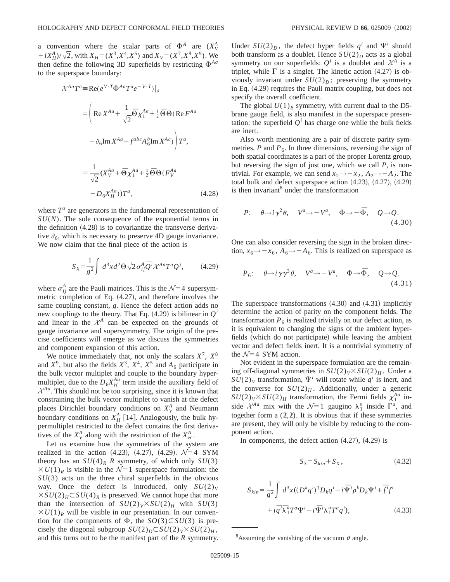a convention where the scalar parts of  $\Phi^A$  are  $(X^A_V)$  $+iX_{H}^{A}$ / $\sqrt{2}$ , with  $X_{H} = (X^{3}, X^{4}, X^{5})$  and  $X_{V} = (X^{7}, X^{8}, X^{9})$ . We then define the following 3D superfields by restricting  $\Phi^{Aa}$ to the superspace boundary:

$$
\mathcal{X}^{Aa}T^{a} = \text{Re}(e^{V \cdot T} \Phi^{Aa}T^{a}e^{-V \cdot T})|_{\partial}
$$
  
\n
$$
= \left(\text{Re}\,X^{Aa} + \frac{1}{\sqrt{2}}\Theta\,\chi_{1}^{Aa} + \frac{1}{2}\Theta\,\Theta\,(\text{Re}\,F^{Aa} - \phi_{\delta}\text{Im}\,X^{Aa} - f^{abc}A_{\delta}^{b}\text{Im}\,X^{Ac})\right)T^{a},
$$
  
\n
$$
= \frac{1}{\sqrt{2}}(X_{V}^{Aa} + \Theta\,\chi_{1}^{Aa} + \frac{1}{2}\Theta\,\Theta\,(F_{V}^{Aa} - D_{\delta}X_{H}^{Aa}))T^{a}, \qquad (4.28)
$$

where  $T^a$  are generators in the fundamental representation of *SU*(*N*). The sole consequence of the exponential terms in the definition  $(4.28)$  is to covariantize the transverse derivative  $\partial_{6}$ , which is necessary to preserve 4D gauge invariance. We now claim that the final piece of the action is

$$
S_X = \frac{1}{g^2} \int d^3x d^2\Theta \sqrt{2} \sigma_{ij}^A \overline{Q}^i \mathcal{X}^{Aa} T^a Q^j, \qquad (4.29)
$$

where  $\sigma_{ij}^A$  are the Pauli matrices. This is the  $\mathcal{N}=4$  supersymmetric completion of Eq.  $(4.27)$ , and therefore involves the same coupling constant, *g*. Hence the defect action adds no new couplings to the theory. That Eq.  $(4.29)$  is bilinear in  $Q^i$ and linear in the  $\mathcal{X}^A$  can be expected on the grounds of gauge invariance and supersymmetry. The origin of the precise coefficients will emerge as we discuss the symmetries and component expansion of this action.

We notice immediately that, not only the scalars  $X^7$ ,  $X^8$ and  $X^9$ , but also the fields  $X^3$ ,  $X^4$ ,  $X^5$  and  $A_6$  participate in the bulk vector multiplet and couple to the boundary hypermultiplet, due to the  $D_6 X_H^{Aa}$  term inside the auxiliary field of  $\mathcal{X}^{Aa}$ . This should not be too surprising, since it is known that constraining the bulk vector multiplet to vanish at the defect places Dirichlet boundary conditions on  $X_V^A$  and Neumann boundary conditions on  $X_H^A$  [14]. Analogously, the bulk hypermultiplet restricted to the defect contains the first derivatives of the  $X^A_V$  along with the restriction of the  $X^A_H$ .

Let us examine how the symmetries of the system are realized in the action  $(4.23)$ ,  $(4.27)$ ,  $(4.29)$ .  $\mathcal{N}=4$  SYM theory has an  $SU(4)_R$  *R* symmetry, of which only  $SU(3)$  $XU(1)_R$  is visible in the  $\mathcal{N}=1$  superspace formulation: the *SU*(3) acts on the three chiral superfields in the obvious way. Once the defect is introduced, only  $SU(2)_V$  $XSU(2)_H \subset SU(4)_R$  is preserved. We cannot hope that more than the intersection of  $SU(2)_V \times SU(2)_H$  with  $SU(3)$  $XU(1)_R$  will be visible in our presentation. In our convention for the components of  $\Phi$ , the *SO*(3) $\subset$ *SU*(3) is precisely the diagonal subgroup  $SU(2)_D \subset SU(2)_V \times SU(2)_H$ , and this turns out to be the manifest part of the *R* symmetry. Under  $SU(2)_D$ , the defect hyper fields  $q^i$  and  $\Psi^i$  should both transform as a doublet. Hence  $SU(2)_D$  acts as a global symmetry on our superfields:  $Q^i$  is a doublet and  $\mathcal{X}^A$  is a triplet, while  $\Gamma$  is a singlet. The kinetic action (4.27) is obviously invariant under  $SU(2)_D$ ; preserving the symmetry in Eq.  $(4.29)$  requires the Pauli matrix coupling, but does not specify the overall coefficient.

The global  $U(1)_B$  symmetry, with current dual to the D5brane gauge field, is also manifest in the superspace presentation: the superfield  $Q^i$  has charge one while the bulk fields are inert.

Also worth mentioning are a pair of discrete parity symmetries,  $P$  and  $P_6$ . In three dimensions, reversing the sign of both spatial coordinates is a part of the proper Lorentz group, but reversing the sign of just one, which we call *P*, is nontrivial. For example, we can send  $x_2 \rightarrow -x_2$ ,  $A_2 \rightarrow -A_2$ . The total bulk and defect superspace action  $(4.23)$ ,  $(4.27)$ ,  $(4.29)$ is then invariant<sup>8</sup> under the transformation

$$
P: \quad \theta \to i\gamma^2 \theta, \quad V^a \to -V^a, \quad \Phi \to -\bar{\Phi}, \quad Q \to Q. \tag{4.30}
$$

One can also consider reversing the sign in the broken direction,  $x_6 \rightarrow -x_6$ ,  $A_6 \rightarrow -A_6$ . This is realized on superspace as

$$
P_6: \quad \theta \to i \gamma \gamma^3 \theta, \quad V^a \to -V^a, \quad \Phi \to \bar{\Phi}, \quad Q \to Q. \tag{4.31}
$$

The superspace transformations  $(4.30)$  and  $(4.31)$  implicitly determine the action of parity on the component fields. The transformation  $P_6$  is realized trivially on our defect action, as it is equivalent to changing the signs of the ambient hyperfields (which do not participate) while leaving the ambient vector and defect fields inert. It is a nontrivial symmetry of the  $\mathcal{N}=4$  SYM action.

Not evident in the superspace formulation are the remaining off-diagonal symmetries in  $SU(2)_V\times SU(2)_H$ . Under a  $SU(2)_V$  transformation,  $\Psi^i$  will rotate while  $q^i$  is inert, and the converse for  $SU(2)_H$ . Additionally, under a generic  $SU(2)_V \times SU(2)_H$  transformation, the Fermi fields  $\chi_1^{Aa}$  inside  $\mathcal{X}^{Aa}$  mix with the  $\mathcal{N}=1$  gaugino  $\lambda_1^a$  inside  $\Gamma^a$ , and together form a (**2**,**2**). It is obvious that if these symmetries are present, they will only be visible by reducing to the component action.

In components, the defect action  $(4.27)$ ,  $(4.29)$  is

$$
S_3 = S_{kin} + S_X, \tag{4.32}
$$

$$
S_{kin} = \frac{1}{g^2} \int d^3x \left( (D^k q^i)^{\dagger} D_k q^i - i \overline{\Psi}^i \rho^k D_k \Psi^i + \overline{f}^i f^i \right. \\
\left. + i \overline{q}^i \overline{\lambda}_1^a T^a \Psi^i - i \overline{\Psi}^i \lambda_1^a T^a q^i \right),
$$
\n(4.33)

<sup>&</sup>lt;sup>8</sup>Assuming the vanishing of the vacuum  $\theta$  angle.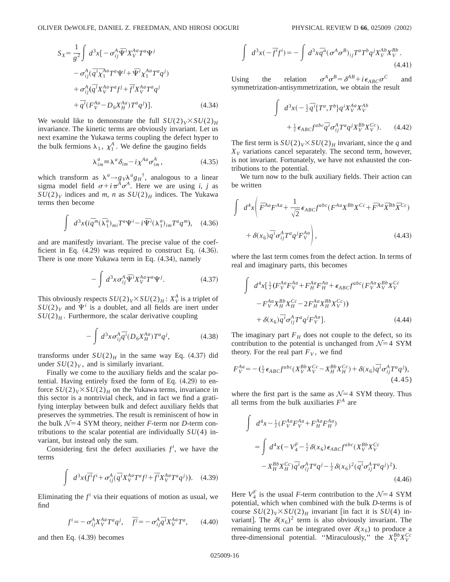$$
S_{X} = \frac{1}{g^{2}} \int d^{3}x [ -\sigma_{ij}^{A} \bar{\Psi}^{i} X_{V}^{Aa} T^{a} \Psi^{j} - \sigma_{ij}^{A} (\bar{q}^{i} \bar{\chi}_{1}^{Aa} T^{a} \Psi^{j} + \bar{\Psi}^{i} \chi_{1}^{Aa} T^{a} q^{j}) + \sigma_{ij}^{A} (\bar{q}^{i} X_{V}^{Aa} T^{a} f^{j} + \bar{f}^{i} X_{V}^{Aa} T^{a} q^{j} + \bar{q}^{i} (F_{V}^{Aa} - D_{6} X_{H}^{Aa}) T^{a} q^{j} )].
$$
\n(4.34)

We would like to demonstrate the full  $SU(2)_V \times SU(2)_H$ invariance. The kinetic terms are obviously invariant. Let us next examine the Yukawa terms coupling the defect hyper to the bulk fermions  $\lambda_1$ ,  $\chi_1^A$ . We define the gaugino fields

$$
\lambda_{im}^a \equiv \lambda^a \delta_{im} - i \chi^{Aa} \sigma_{im}^A, \qquad (4.35)
$$

which transform as  $\lambda^a \rightarrow g_V \lambda^a g_H^{\dagger}$ , analogous to a linear sigma model field  $\sigma + i\pi^A \sigma^A$ . Here we are using *i*, *j* as  $SU(2)_V$  indices and *m*, *n* as  $SU(2)_H$  indices. The Yukawa terms then become

$$
\int d^3x (i \overline{q}^m (\overline{\lambda}_1^a)_{mi} T^a \Psi^i - i \overline{\Psi}^i (\lambda_1^a)_{im} T^a q^m), \quad (4.36)
$$

and are manifestly invariant. The precise value of the coefficient in Eq.  $(4.29)$  was required to construct Eq.  $(4.36)$ . There is one more Yukawa term in Eq.  $(4.34)$ , namely

$$
-\int d^3x \sigma_{ij}^A \overline{\Psi}^i X_V^{Aa} T^a \Psi^j. \tag{4.37}
$$

This obviously respects  $SU(2)_V \times SU(2)_H$ :  $X_V^A$  is a triplet of  $SU(2)_V$  and  $\Psi^i$  is a doublet, and all fields are inert under  $SU(2)_H$ . Furthermore, the scalar derivative coupling

$$
-\int d^3x \sigma_{ij}^A \overline{q}^i (D_6 X_H^{Aa}) T^a q^j, \tag{4.38}
$$

transforms under  $SU(2)_H$  in the same way Eq. (4.37) did under  $SU(2)_V$ , and is similarly invariant.

Finally we come to the auxiliary fields and the scalar potential. Having entirely fixed the form of Eq.  $(4.29)$  to enforce  $SU(2)_V \times SU(2)_H$  on the Yukawa terms, invariance in this sector is a nontrivial check, and in fact we find a gratifying interplay between bulk and defect auxiliary fields that preserves the symmetries. The result is reminiscent of how in the bulk  $\mathcal{N}=4$  SYM theory, neither *F*-term nor *D*-term contributions to the scalar potential are individually *SU*(4) invariant, but instead only the sum.

Considering first the defect auxiliaries  $f^i$ , we have the terms

$$
\int d^3x (\overline{f}^i f^i + \sigma_{ij}^A (\overline{q}^i X_V^{Aa} T^a f^j + \overline{f}^i X_V^{Aa} T^a q^j)). \quad (4.39)
$$

Eliminating the  $f^i$  via their equations of motion as usual, we find

$$
f^{i} = -\sigma_{ij}^{A} X_{V}^{Aa} T^{a} q^{j}, \quad \bar{f}^{j} = -\sigma_{ij}^{A} \bar{q}^{i} X_{V}^{Aa} T^{a}, \quad (4.40)
$$

and then Eq.  $(4.39)$  becomes

$$
\int d^3x (-\overline{f}^i f^i) = -\int d^3x \overline{q}^a (\sigma^A \sigma^B)_{ij} T^a T^b q^j X_V^{Ab} X_V^{Bb}.
$$
\n(4.41)

Using the relation  $\sigma^A \sigma^B = \delta^{AB} + i \epsilon_{ABC} \sigma^C$  and symmetrization-antisymmetrization, we obtain the result

$$
\int d^3x \left(-\frac{1}{2}\overline{q}^i \{T^a, T^b\} q^i X_V^{Aa} X_V^{Ab}\right.\left.+\frac{1}{2}\epsilon_{ABC} f^{abc} \overline{q}^i \sigma_{ij}^A T^a q^j X_V^{Bb} X_V^{Cc}\right>.
$$
\n(4.42)

The first term is  $SU(2)_V \times SU(2)_H$  invariant, since the *q* and  $X_V$  variations cancel separately. The second term, however, is not invariant. Fortunately, we have not exhausted the contributions to the potential.

We turn now to the bulk auxiliary fields. Their action can be written

$$
\int d^4x \left( \overline{F}^{Aa} F^{Aa} + \frac{1}{\sqrt{2}} \epsilon_{ABC} f^{abc} (F^{Aa} X^{Bb} X^{Cc} + \overline{F}^{Aa} \overline{X}^{Bb} \overline{X}^{Cc}) + \delta(x_6) \overline{q}^i \sigma_{ij}^A T^a q^j F_V^{Aa} \right),
$$
\n(4.43)

where the last term comes from the defect action. In terms of real and imaginary parts, this becomes

$$
\int d^4x \left[ \frac{1}{2} (F_V^{Aa} F_V^{Aa} + F_H^{Aa} F_H^{Aa} + \epsilon_{ABC} f^{abc} (F_V^{Aa} X_V^{Bb} X_V^{Cc} - F_V^{Aa} X_H^{Bb} X_H^{Cc} - 2 F_H^{Aa} X_H^{Bb} X_V^{Cc}) \right] + \delta(x_6) \overline{q}^i \sigma_{ij}^A T^a q^j F_V^{Aa}].
$$
\n(4.44)

The imaginary part  $F_H$  does not couple to the defect, so its contribution to the potential is unchanged from  $\mathcal{N}=4$  SYM theory. For the real part  $F_V$ , we find

$$
F_V^{Aa} = -\left(\frac{1}{2}\epsilon_{ABC}f^{abc}(X_V^{Bb}X_V^{Cc} - X_H^{Bb}X_H^{Cc}) + \delta(x_6)\bar{q}^i\sigma_{ij}^A T^a q^j\right),\tag{4.45}
$$

where the first part is the same as  $\mathcal{N}=4$  SYM theory. Thus all terms from the bulk auxiliaries  $F^A$  are

$$
\int d^4x - \frac{1}{2} (F_V^{Aa} F_V^{Aa} + F_H^{Aa} F_H^{Aa})
$$
\n
$$
= \int d^4x (-V_A^F - \frac{1}{2} \delta(x_6) \epsilon_{ABC} f^{abc} (X_V^{Bb} X_V^{Cc})
$$
\n
$$
- X_H^{Bb} X_H^{Cc} ) \bar{q}^i \sigma_{ij}^A T^a q^j - \frac{1}{2} \delta(x_6)^2 (\bar{q}^i \sigma_{ij}^A T^a q^j)^2 ).
$$
\n(4.46)

Here  $V_4^F$  is the usual *F*-term contribution to the  $\mathcal{N}=4$  SYM potential, which when combined with the bulk *D*-terms is of course  $SU(2)_V \times SU(2)_H$  invariant [in fact it is  $SU(4)$  invariant]. The  $\delta(x_6)^2$  term is also obviously invariant. The remaining terms can be integrated over  $\delta(x_6)$  to produce a three-dimensional potential. "Miraculously," the  $X_V^{Bb} X_V^{Cc}$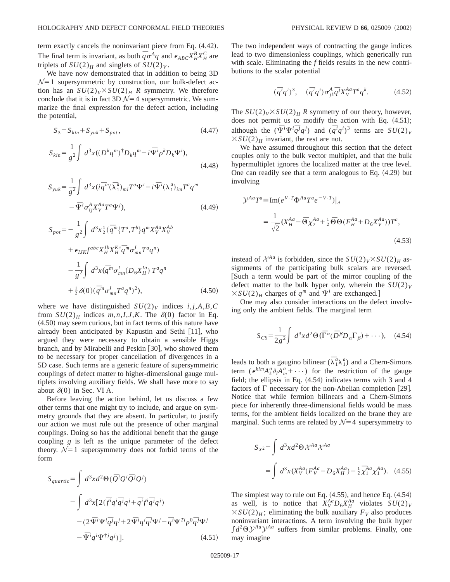term exactly cancels the noninvariant piece from Eq.  $(4.42)$ . The final term is invariant, as both  $\bar{q} \sigma^A q$  and  $\epsilon_{ABC} X^B_H X^C_H$  are triplets of  $SU(2)_H$  and singlets of  $SU(2)_V$ .

We have now demonstrated that in addition to being 3D  $N=1$  supersymmetric by construction, our bulk-defect action has an  $SU(2)_V \times SU(2)_H$  *R* symmetry. We therefore conclude that it is in fact 3D  $\mathcal{N}=4$  supersymmetric. We summarize the final expression for the defect action, including the potential,

$$
S_3 = S_{kin} + S_{yuk} + S_{pot},
$$
\n(4.47)

$$
S_{kin} = \frac{1}{g^2} \int d^3x \left( \left( D^k q^m \right)^{\dagger} D_k q^m - i \Psi^i \rho^k D_k \Psi^i \right),\tag{4.48}
$$

$$
S_{yuk} = \frac{1}{g^2} \int d^3x (i \overline{q}^m (\overline{\lambda}_1^a)_{mi} T^a \Psi^i - i \Psi^i (\lambda_1^a)_{im} T^a q^m
$$
  
 
$$
- \overline{\Psi}^i \sigma_{ij}^A X_V^A T^a \Psi^j), \qquad (4.49)
$$

$$
S_{pot} = -\frac{1}{g^2} \int d^3x \frac{1}{2} (\bar{q}^m \{T^a, T^b\} q^m X_V^{Aa} X_V^{Ab} + \epsilon_{IJK} f^{abc} X_H^{Jb} X_H^{Kc} \bar{q}^m \sigma_{mn}^I T^a q^n) - \frac{1}{g^2} \int d^3x (\bar{q}^m \sigma_{mn}^I (D_6 X_H^{Ia}) T^a q^n) + \frac{1}{2} \delta(0) (\bar{q}^m \sigma_{mn}^I T^a q^n)^2),
$$
(4.50)

where we have distinguished  $SU(2)_V$  indices  $i, j, A, B, C$ from  $SU(2)_H$  indices  $m, n, I, J, K$ . The  $\delta(0)$  factor in Eq.  $(4.50)$  may seem curious, but in fact terms of this nature have already been anticipated by Kapustin and Sethi  $[11]$ , who argued they were necessary to obtain a sensible Higgs branch, and by Mirabelli and Peskin  $[30]$ , who showed them to be necessary for proper cancellation of divergences in a 5D case. Such terms are a generic feature of supersymmetric couplings of defect matter to higher-dimensional gauge multiplets involving auxiliary fields. We shall have more to say about  $\delta(0)$  in Sec. VI A.

Before leaving the action behind, let us discuss a few other terms that one might try to include, and argue on symmetry grounds that they are absent. In particular, to justify our action we must rule out the presence of other marginal couplings. Doing so has the additional benefit that the gauge coupling *g* is left as the unique parameter of the defect theory.  $\mathcal{N}=1$  supersymmetry does not forbid terms of the form

$$
S_{quartic} = \int d^3x d^2\Theta(\bar{Q}^i Q^i \bar{Q}^j Q^j)
$$
  
= 
$$
\int d^3x [2(\bar{f}^i q^i \bar{q}^j q^j + \bar{q}^i f^i \bar{q}^j q^j)
$$
  
-( 
$$
2\bar{\Psi}^i \Psi^i \bar{q}^j q^j + 2\bar{\Psi}^i q^i \bar{q}^j \Psi^j - \bar{q}^i \Psi^{Ti} \rho^0 \bar{q}^j \Psi^j
$$
  
- 
$$
\bar{\Psi}^i q^i \Psi^{\dagger j} q^j)]. \qquad (4.51)
$$

The two independent ways of contracting the gauge indices lead to two dimensionless couplings, which generically run with scale. Eliminating the *f* fields results in the new contributions to the scalar potential

$$
(\overline{q}^i q^i)^3, \quad (\overline{q}^i q^i) \sigma^A_{jk} \overline{q}^j X^{Aa}_{V} T^a q^k. \tag{4.52}
$$

The  $SU(2)_V \times SU(2)_H R$  symmetry of our theory, however, does not permit us to modify the action with Eq.  $(4.51);$ although the  $(\bar{\Psi}^i \Psi^i \bar{q}^j q^j)$  and  $(\bar{q}^i q^i)^3$  terms are  $SU(2)_V$  $\times SU(2)_H$  invariant, the rest are not.

We have assumed throughout this section that the defect couples only to the bulk vector multiplet, and that the bulk hypermultiplet ignores the localized matter at the tree level. One can readily see that a term analogous to Eq.  $(4.29)$  but involving

$$
\mathcal{Y}^{Aa}T^{a} \equiv \text{Im}(e^{V \cdot T} \Phi^{Aa} T^{a} e^{-V \cdot T})|_{\partial}
$$
  

$$
= \frac{1}{\sqrt{2}} (X_{H}^{Aa} - \overline{\Theta} \chi_{2}^{Aa} + \frac{1}{2} \overline{\Theta} \Theta (F_{H}^{Aa} + D_{6} X_{V}^{Aa})) T^{a}, \tag{4.53}
$$

instead of  $\mathcal{X}^{Aa}$  is forbidden, since the  $SU(2)_V \times SU(2)_H$  assignments of the participating bulk scalars are reversed. Such a term would be part of the mirror coupling of the defect matter to the bulk hyper only, wherein the  $SU(2)_V$  $\times SU(2)_H$  charges of  $q^m$  and  $\Psi^i$  are exchanged.]

One may also consider interactions on the defect involving only the ambient fields. The marginal term

$$
S_{CS} = \frac{1}{2g^2} \int d^3x d^2\Theta (\overline{\Gamma}^{\alpha} (\overline{D}^{\beta} D_{\alpha} \Gamma_{\beta}) + \cdots), \quad (4.54)
$$

leads to both a gaugino bilinear  $(\bar{\lambda}_1^a \lambda_1^a)$  and a Chern-Simons term ( $\epsilon^{klm} A_k^a \partial_l A_m^a + \cdots$ ) for the restriction of the gauge field; the ellipsis in Eq.  $(4.54)$  indicates terms with 3 and 4 factors of  $\Gamma$  necessary for the non-Abelian completion [29]. Notice that while fermion bilinears and a Chern-Simons piece for inherently three-dimensional fields would be mass terms, for the ambient fields localized on the brane they are marginal. Such terms are related by  $\mathcal{N}=4$  supersymmetry to

$$
S_{X^2} = \int d^3x d^2\Theta \, \mathcal{X}^{Aa} \mathcal{X}^{Aa}
$$
  
= 
$$
\int d^3x (X_V^{Aa} (F_V^{Aa} - D_6 X_H^{Aa}) - \frac{1}{2} \overline{\chi}_1^{Aa} \chi_1^{Aa}).
$$
 (4.55)

The simplest way to rule out Eq.  $(4.55)$ , and hence Eq.  $(4.54)$ as well, is to notice that  $X_V^{Aa} D_6 X_H^{Aa}$  violates  $SU(2)_V$  $\times SU(2)_H$ ; eliminating the bulk auxiliary  $F_V$  also produces noninvariant interactions. A term involving the bulk hyper  $\int d^2\Theta \mathcal{Y}^{Aa} \mathcal{Y}^{Aa}$  suffers from similar problems. Finally, one may imagine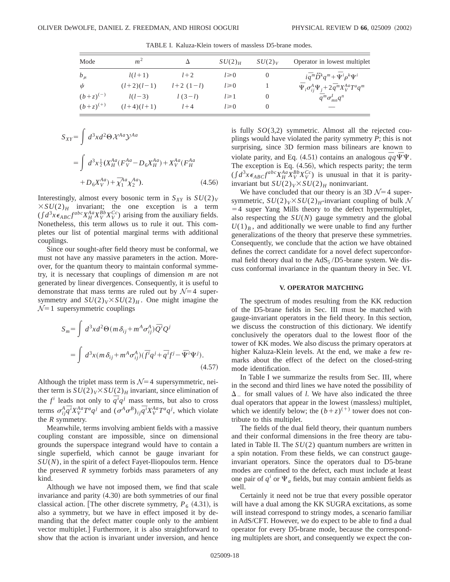| Mode          | m <sup>2</sup> |               | $SU(2)_H$  | SU(2) <sub>V</sub> | Operator in lowest multiplet                                                 |
|---------------|----------------|---------------|------------|--------------------|------------------------------------------------------------------------------|
| $b_\mu$       | $l(l+1)$       | $l+2$         | $l \ge 0$  |                    | $i\bar{q}^m\tilde{D}^k q^m + \bar{\Psi}^i \rho^k \Psi^i$                     |
| $\psi$        | $(l+2)(l-1)$   | $l+2$ $(1-l)$ | $l \ge 0$  |                    | $\overline{\Psi}_i \sigma_{ij}^A \Psi_j + 2 \overline{q}^m X_V^{Aa} T^a q^m$ |
| $(b+z)^{(-)}$ | $l(l-3)$       | $l(3-l)$      | $l \geq 1$ | O                  | $\overline{q}^m \sigma_{mn}^l q^n$                                           |
| $(b+z)^{(+)}$ | $(l+4)(l+1)$   | $1+4$         | $l \ge 0$  | $\theta$           |                                                                              |

TABLE I. Kaluza-Klein towers of massless D5-brane modes.

$$
S_{XY} = \int d^3x d^2\Theta \, \mathcal{X}^{Aa} \mathcal{Y}^{Aa}
$$
  
= 
$$
\int d^3x \frac{1}{2} (X_H^{Aa} (F_V^{Aa} - D_6 X_H^{Aa}) + X_V^{Aa} (F_H^{Aa} + D_6 X_V^{Aa}) + \overline{\chi}_1^{Aa} \chi_2^{Aa}).
$$
 (4.56)

Interestingly, almost every bosonic term in  $S_{XY}$  is  $SU(2)_V$  $\times SU(2)_H$  invariant; the one exception is a term  $(\int d^3x \epsilon_{ABC} f^{abc} X_H^{Aa} X_V^{Bb} X_V^{Cc})$  arising from the auxiliary fields. Nonetheless, this term allows us to rule it out. This completes our list of potential marginal terms with additional couplings.

Since our sought-after field theory must be conformal, we must not have any massive parameters in the action. Moreover, for the quantum theory to maintain conformal symmetry, it is necessary that couplings of dimension *m* are not generated by linear divergences. Consequently, it is useful to demonstrate that mass terms are ruled out by  $\mathcal{N}=4$  supersymmetry and  $SU(2)_V \times SU(2)_H$ . One might imagine the  $\mathcal{N}=1$  supersymmetric couplings

$$
S_m = \int d^3x d^2\Theta(m\,\delta_{ij} + m^A \sigma_{ij}^A) \overline{Q}^i Q^j
$$
  
= 
$$
\int d^3x (m\,\delta_{ij} + m^A \sigma_{ij}^A) (\overline{f}^i q^j + \overline{q}^i f^j - \overline{\Psi}^i \Psi^j).
$$
 (4.57)

Although the triplet mass term is  $\mathcal{N}=4$  supersymmetric, neither term is  $SU(2)_V \times SU(2)_H$  invariant, since elimination of the *f*<sup>*i*</sup> leads not only to  $\overline{q}$ <sup>*i*</sup> $q$ <sup>*j*</sup> mass terms, but also to cross terms  $\sigma_{ij}^A \overline{q}^i X_V^A T^a q^j$  and  $(\sigma^A \sigma^B)_{ij} \overline{q}^i X_V^A T^a q^j$ , which violate the *R* symmetry.

Meanwhile, terms involving ambient fields with a massive coupling constant are impossible, since on dimensional grounds the superspace integrand would have to contain a single superfield, which cannot be gauge invariant for *SU*(*N*), in the spirit of a defect Fayet-Iliopoulos term. Hence the preserved *R* symmetry forbids mass parameters of any kind.

Although we have not imposed them, we find that scale invariance and parity  $(4.30)$  are both symmetries of our final classical action. [The other discrete symmetry,  $P_6$  (4.31), is also a symmetry, but we have in effect imposed it by demanding that the defect matter couple only to the ambient vector multiplet.] Furthermore, it is also straightforward to show that the action is invariant under inversion, and hence is fully *SO*(3,2) symmetric. Almost all the rejected couplings would have violated the parity symmetry *P*; this is not surprising, since 3D fermion mass bilinears are known to violate parity, and Eq. (4.51) contains an analogous  $\bar{q}q \bar{\Psi}\Psi$ . The exception is Eq.  $(4.56)$ , which respects parity; the term  $(\int d^3x \epsilon_{ABC} f^{abc} X_H^{Aa} X_V^{Bb} X_V^{Cc})$  is unusual in that it is parityinvariant but  $SU(2)_V \times SU(2)_H$  noninvariant.

We have concluded that our theory is an 3D  $\mathcal{N}=4$  supersymmetric,  $SU(2)_V \times SU(2)_H$ -invariant coupling of bulk N  $=4$  super Yang Mills theory to the defect hypermultiplet, also respecting the *SU*(*N*) gauge symmetry and the global  $U(1)_B$ , and additionally we were unable to find any further generalizations of the theory that preserve these symmetries. Consequently, we conclude that the action we have obtained defines the correct candidate for a novel defect superconformal field theory dual to the  $AdS<sub>5</sub>/D5$ -brane system. We discuss conformal invariance in the quantum theory in Sec. VI.

# **V. OPERATOR MATCHING**

The spectrum of modes resulting from the KK reduction of the D5-brane fields in Sec. III must be matched with gauge-invariant operators in the field theory. In this section, we discuss the construction of this dictionary. We identify conclusively the operators dual to the lowest floor of the tower of KK modes. We also discuss the primary operators at higher Kaluza-Klein levels. At the end, we make a few remarks about the effect of the defect on the closed-string mode identification.

In Table I we summarize the results from Sec. III, where in the second and third lines we have noted the possibility of  $\Delta$  for small values of *l*. We have also indicated the three dual operators that appear in the lowest (massless) multiplet, which we identify below; the  $(b+z)^{(+)}$  tower does not contribute to this multiplet.

The fields of the dual field theory, their quantum numbers and their conformal dimensions in the free theory are tabulated in Table II. The *SU*(2) quantum numbers are written in a spin notation. From these fields, we can construct gaugeinvariant operators. Since the operators dual to D5-brane modes are confined to the defect, each must include at least one pair of  $q^i$  or  $\Psi_a$  fields, but may contain ambient fields as well.

Certainly it need not be true that every possible operator will have a dual among the KK SUGRA excitations, as some will instead correspond to stringy modes, a scenario familiar in AdS/CFT. However, we do expect to be able to find a dual operator for every D5-brane mode, because the corresponding multiplets are short, and consequently we expect the con-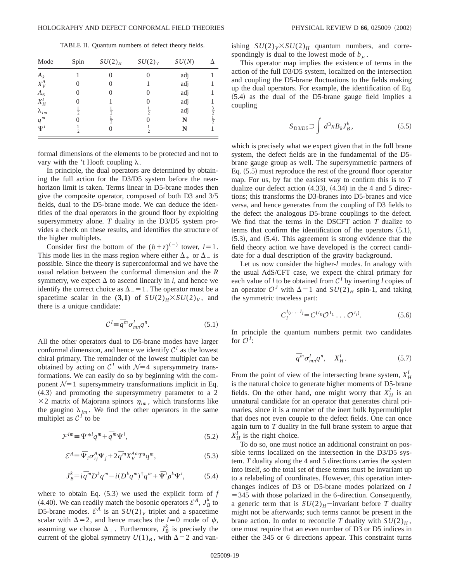TABLE II. Quantum numbers of defect theory fields.

| Mode                    | Spin          | $SU(2)_H$     | SU(2) <sub>V</sub> | SU(N) |                            |
|-------------------------|---------------|---------------|--------------------|-------|----------------------------|
| $A_k$                   |               | 0             |                    | adj   |                            |
| $X^A_V$                 |               | 0             |                    | adj   |                            |
| $A_6$                   |               | $\theta$      |                    | adj   |                            |
| $X_H^I$                 |               |               |                    | adj   |                            |
|                         | $\frac{1}{2}$ | $\frac{1}{2}$ | $\frac{1}{2}$      | adj   |                            |
| $\lambda_{im}$<br>$q^m$ |               | $\frac{1}{2}$ |                    | N     | $rac{3}{2}$<br>$rac{1}{2}$ |
| $\Psi^i$                | $\frac{1}{2}$ | 0             | $\frac{1}{2}$      | N     |                            |

formal dimensions of the elements to be protected and not to vary with the 't Hooft coupling  $\lambda$ .

In principle, the dual operators are determined by obtaining the full action for the D3/D5 system before the nearhorizon limit is taken. Terms linear in D5-brane modes then give the composite operator, composed of both D3 and 3/5 fields, dual to the D5-brane mode. We can deduce the identities of the dual operators in the ground floor by exploiting supersymmetry alone. *T* duality in the D3/D5 system provides a check on these results, and identifies the structure of the higher multiplets.

Consider first the bottom of the  $(b+z)^{(-)}$  tower,  $l=1$ . This mode lies in the mass region where either  $\Delta_+$  or  $\Delta_-$  is possible. Since the theory is superconformal and we have the usual relation between the conformal dimension and the *R* symmetry, we expect  $\Delta$  to ascend linearly in *l*, and hence we identify the correct choice as  $\Delta_{-}=1$ . The operator must be a spacetime scalar in the (3,1) of  $SU(2)_H$ × $SU(2)_V$ , and there is a unique candidate:

$$
\mathcal{C}^{\,l} \equiv \bar{q}^m \sigma^l_{mn} q^n. \tag{5.1}
$$

All the other operators dual to D5-brane modes have larger conformal dimension, and hence we identify  $C<sup>I</sup>$  as the lowest chiral primary. The remainder of the lowest multiplet can be obtained by acting on  $C<sup>I</sup>$  with  $\mathcal{N}=4$  supersymmetry transformations. We can easily do so by beginning with the component  $\mathcal{N}=1$  supersymmetry transformations implicit in Eq.  $(4.3)$  and promoting the supersymmetry parameter to a 2  $\times$ 2 matrix of Majorana spinors  $\eta_{im}$ , which transforms like the gaugino  $\lambda_{im}$ . We find the other operators in the same multiplet as  $C<sup>I</sup>$  to be

$$
\mathcal{F}^{im} \equiv \Psi^{*i} q^m + \bar{q}^m \Psi^i,\tag{5.2}
$$

$$
\mathcal{E}^A = \bar{\Psi}_i \sigma_{ij}^A \Psi_j + 2 \bar{q}^m X_V^{Aa} T^a q^m, \qquad (5.3)
$$

$$
J_B^k \equiv i \bar{q}^m D^k q^m - i (D^k q^m)^\dagger q^m + \bar{\Psi}^i \rho^k \Psi^i, \tag{5.4}
$$

where to obtain Eq.  $(5.3)$  we used the explicit form of  $f$ (4.40). We can readily match the bosonic operators  $\mathcal{E}^A$ ,  $J_B^k$  to D5-brane modes.  $\mathcal{E}^A$  is an  $SU(2)_V$  triplet and a spacetime scalar with  $\Delta = 2$ , and hence matches the  $l=0$  mode of  $\psi$ , assuming we choose  $\Delta_+$ . Furthermore,  $J_B^k$  is precisely the current of the global symmetry  $U(1)_B$ , with  $\Delta = 2$  and vanishing  $SU(2)_V \times SU(2)_H$  quantum numbers, and correspondingly is dual to the lowest mode of  $b<sub>\mu</sub>$ .

This operator map implies the existence of terms in the action of the full D3/D5 system, localized on the intersection and coupling the D5-brane fluctuations to the fields making up the dual operators. For example, the identification of Eq.  $(5.4)$  as the dual of the D5-brane gauge field implies a coupling

$$
S_{D3/D5} \supset \int d^3x B_k J_B^k, \tag{5.5}
$$

which is precisely what we expect given that in the full brane system, the defect fields are in the fundamental of the D5 brane gauge group as well. The supersymmetric partners of Eq.  $(5.5)$  must reproduce the rest of the ground floor operator map. For us, by far the easiest way to confirm this is to *T* dualize our defect action  $(4.33)$ ,  $(4.34)$  in the 4 and 5 directions; this transforms the D3-branes into D5-branes and vice versa, and hence generates from the coupling of D3 fields to the defect the analogous D5-brane couplings to the defect. We find that the terms in the DSCFT action *T* dualize to terms that confirm the identification of the operators  $(5.1)$ ,  $(5.3)$ , and  $(5.4)$ . This agreement is strong evidence that the field theory action we have developed is the correct candidate for a dual description of the gravity background.

Let us now consider the higher-*l* modes. In analogy with the usual AdS/CFT case, we expect the chiral primary for each value of *l* to be obtained from  $C<sup>I</sup>$  by inserting *l* copies of an operator  $\mathcal{O}^J$  with  $\Delta=1$  and  $SU(2)_H$  spin-1, and taking the symmetric traceless part:

$$
C_l^{I_0 \cdots I_l} = C^{(I_0} \mathcal{O}^{I_1} \cdots \mathcal{O}^{I_l)}.
$$
 (5.6)

In principle the quantum numbers permit two candidates for  $\mathcal{O}^I$ :

$$
\bar{q}^m \sigma^I_{mn} q^n, \quad X^I_H. \tag{5.7}
$$

From the point of view of the intersecting brane system,  $X_H^I$ is the natural choice to generate higher moments of D5-brane fields. On the other hand, one might worry that  $X_H^I$  is an unnatural candidate for an operator that generates chiral primaries, since it is a member of the inert bulk hypermultiplet that does not even couple to the defect fields. One can once again turn to *T* duality in the full brane system to argue that  $X_H^I$  is the right choice.

To do so, one must notice an additional constraint on possible terms localized on the intersection in the D3/D5 system. *T* duality along the 4 and 5 directions carries the system into itself, so the total set of these terms must be invariant up to a relabeling of coordinates. However, this operation interchanges indices of D3 or D5-brane modes polarized on *I*  $=$  345 with those polarized in the 6-direction. Consequently, a generic term that is  $SU(2)_H$ <sup>-</sup>invariant before *T* duality might not be afterwards; such terms cannot be present in the brane action. In order to reconcile *T* duality with  $SU(2)_H$ , one must require that an even number of D3 or D5 indices in either the 345 or 6 directions appear. This constraint turns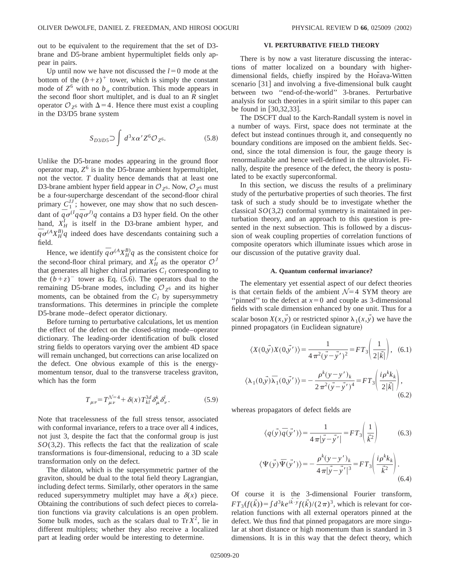out to be equivalent to the requirement that the set of D3 brane and D5-brane ambient hypermultiplet fields only appear in pairs.

Up until now we have not discussed the  $l=0$  mode at the bottom of the  $(b+z)^+$  tower, which is simply the constant mode of  $Z^6$  with no  $b_\alpha$  contribution. This mode appears in the second floor short multiplet, and is dual to an *R* singlet operator  $\mathcal{O}_{Z^6}$  with  $\Delta$  = 4. Hence there must exist a coupling in the D3/D5 brane system

$$
S_{D3/D5} \supset \int d^3x \alpha' Z^6 \mathcal{O}_{Z^6}.
$$
 (5.8)

Unlike the D5-brane modes appearing in the ground floor operator map,  $Z^6$  is in the D5-brane ambient hypermultiplet, not the vector. *T* duality hence demands that at least one D3-brane ambient hyper field appear in  $\mathcal{O}_{Z^6}$ . Now,  $\mathcal{O}_{Z^6}$  must be a four-supercharge descendant of the second-floor chiral primary  $C_1^{\prime J}$ ; however, one may show that no such descendant of  $\overline{q} \sigma^{(1)} q \overline{q} \sigma^{(1)} q$  contains a D3 hyper field. On the other hand,  $X_H^I$  is itself in the D3-brane ambient hyper, and  $\overline{q} \sigma^{(A} X_H^B q$  indeed does have descendants containing such a field.

Hence, we identify  $\overline{q} \sigma^{(A} X_H^B) q$  as the consistent choice for the second-floor chiral primary, and  $X_H^J$  as the operator  $\mathcal{O}^J$ that generates all higher chiral primaries  $C_l$  corresponding to the  $(b+z)^{-}$  tower as Eq. (5.6). The operators dual to the remaining D5-brane modes, including  $\mathcal{O}_{Z^6}$  and its higher moments, can be obtained from the  $C_l$  by supersymmetry transformations. This determines in principle the complete D5-brane mode–defect operator dictionary.

Before turning to perturbative calculations, let us mention the effect of the defect on the closed-string mode–operator dictionary. The leading-order identification of bulk closed string fields to operators varying over the ambient 4D space will remain unchanged, but corrections can arise localized on the defect. One obvious example of this is the energymomentum tensor, dual to the transverse traceless graviton, which has the form

$$
T_{\mu\nu} = T_{\mu\nu}^{\mathcal{N}=4} + \delta(x) T_{kl}^{3d} \delta_{\mu}^{k} \delta_{\nu}^{l}.
$$
 (5.9)

Note that tracelessness of the full stress tensor, associated with conformal invariance, refers to a trace over all 4 indices, not just 3, despite the fact that the conformal group is just *SO*(3,2). This reflects the fact that the realization of scale transformations is four-dimensional, reducing to a 3D scale transformation only on the defect.

The dilaton, which is the supersymmetric partner of the graviton, should be dual to the total field theory Lagrangian, including defect terms. Similarly, other operators in the same reduced supersymmetry multiplet may have a  $\delta(x)$  piece. Obtaining the contributions of such defect pieces to correlation functions via gravity calculations is an open problem. Some bulk modes, such as the scalars dual to  $Tr X^2$ , lie in different multiplets; whether they also receive a localized part at leading order would be interesting to determine.

# **VI. PERTURBATIVE FIELD THEORY**

There is by now a vast literature discussing the interactions of matter localized on a boundary with higherdimensional fields, chiefly inspired by the Horava-Witten scenario [31] and involving a five-dimensional bulk caught between two ''end-of-the-world'' 3-branes. Perturbative analysis for such theories in a spirit similar to this paper can be found in  $[30,32,33]$ .

The DSCFT dual to the Karch-Randall system is novel in a number of ways. First, space does not terminate at the defect but instead continues through it, and consequently no boundary conditions are imposed on the ambient fields. Second, since the total dimension is four, the gauge theory is renormalizable and hence well-defined in the ultraviolet. Finally, despite the presence of the defect, the theory is postulated to be exactly superconformal.

In this section, we discuss the results of a preliminary study of the perturbative properties of such theories. The first task of such a study should be to investigate whether the classical *SO*(3,2) conformal symmetry is maintained in perturbation theory, and an approach to this question is presented in the next subsection. This is followed by a discussion of weak coupling properties of correlation functions of composite operators which illuminate issues which arose in our discussion of the putative gravity dual.

#### **A. Quantum conformal invariance?**

The elementary yet essential aspect of our defect theories is that certain fields of the ambient  $\mathcal{N}=4$  SYM theory are "pinned" to the defect at  $x=0$  and couple as 3-dimensional fields with scale dimension enhanced by one unit. Thus for a scalar boson  $X(x, y)$  or restricted spinor  $\lambda_1(x, y)$  we have the pinned propagators (in Euclidean signature)

$$
\langle X(0,\vec{y})X(0,\vec{y}')\rangle = \frac{1}{4\pi^2(\vec{y}-\vec{y}')^2} = FT_3\left(\frac{1}{2|\vec{k}|}\right),\tag{6.1}
$$

$$
\langle \lambda_1(0,\vec{y})\overline{\lambda}_1(0,\vec{y}') \rangle = -\frac{\rho^k(y-y')_k}{2\pi^2(\vec{y}-\vec{y}')^4} = FT_3 \left( \frac{i\rho^k k_k}{2|\vec{k}|} \right),\tag{6.2}
$$

whereas propagators of defect fields are

$$
\langle q(\vec{y})\overline{q}(\vec{y}')\rangle = \frac{1}{4\pi|\vec{y}-\vec{y}'|} = FT_3\left(\frac{1}{\vec{k}^2}\right) \tag{6.3}
$$

$$
\langle \Psi(\vec{y}) \Psi(\vec{y}') \rangle = -\frac{\rho^k (y - y')_k}{4\pi |\vec{y} - \vec{y}'|^3} = FT_3 \left( \frac{i \rho^k k_k}{\vec{k}^2} \right). \tag{6.4}
$$

Of course it is the 3-dimensional Fourier transform,  $FT_3(f(\vec{k})) = \int d^3k e^{i\vec{k} \cdot \vec{y}} f(\vec{k})/(2\pi)^3$ , which is relevant for correlation functions with all external operators pinned at the defect. We thus find that pinned propagators are more singular at short distance or high momentum than is standard in 3 dimensions. It is in this way that the defect theory, which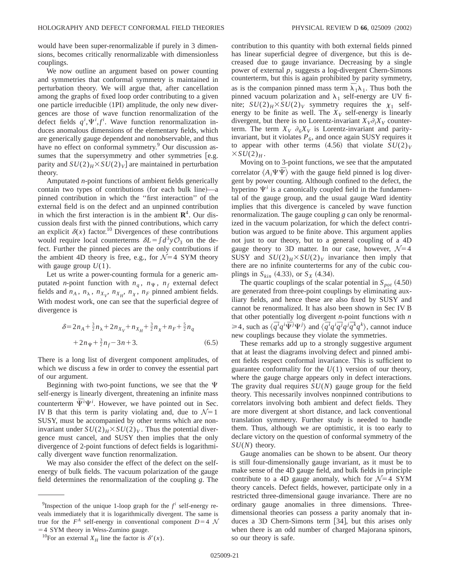would have been super-renormalizable if purely in 3 dimensions, becomes critically renormalizable with dimensionless couplings.

We now outline an argument based on power counting and symmetries that conformal symmetry is maintained in perturbation theory. We will argue that, after cancellation among the graphs of fixed loop order contributing to a given one particle irreducible  $(1PI)$  amplitude, the only new divergences are those of wave function renormalization of the defect fields  $q^i$ ,  $\Psi^i$ ,  $f^i$ . Wave function renormalization induces anomalous dimensions of the elementary fields, which are generically gauge dependent and nonobservable, and thus have no effect on conformal symmetry.<sup>9</sup> Our discussion assumes that the supersymmetry and other symmetries [e.g. parity and  $SU(2)_H$ <sup> $\times$ </sup> $SU(2)_V$  are maintained in perturbation theory.

Amputated *n*-point functions of ambient fields generically contain two types of contributions (for each bulk line)—a pinned contribution in which the ''first interaction'' of the external field is on the defect and an unpinned contribution in which the first interaction is in the ambient  $\mathbb{R}^4$ . Our discussion deals first with the pinned contributions, which carry an explicit  $\delta(x)$  factor.<sup>10</sup> Divergences of these contributions would require local counterterms  $\delta L = \int d^3y \mathcal{O}_3$  on the defect. Further the pinned pieces are the only contributions if the ambient 4D theory is free, e.g., for  $\mathcal{N}=4$  SYM theory with gauge group  $U(1)$ .

Let us write a power-counting formula for a generic amputated *n*-point function with  $n_q$ ,  $n_{\Psi}$ ,  $n_f$  external defect fields and  $n_A$ ,  $n_\lambda$ ,  $n_{X_V}$ ,  $n_{X_H}$ ,  $n_\chi$ ,  $n_F$  pinned ambient fields. With modest work, one can see that the superficial degree of divergence is

$$
\delta = 2n_A + \frac{3}{2}n_A + 2n_{X_V} + n_{X_H} + \frac{3}{2}n_{\chi} + n_F + \frac{5}{2}n_q
$$
  
+ 2n\_{\Psi} + \frac{3}{2}n\_f - 3n + 3. (6.5)

There is a long list of divergent component amplitudes, of which we discuss a few in order to convey the essential part of our argument.

Beginning with two-point functions, we see that the  $\Psi$ self-energy is linearly divergent, threatening an infinite mass  $\overline{\Psi}^i\Psi^i$ . However, we have pointed out in Sec. IV B that this term is parity violating and, due to  $\mathcal{N}=1$ SUSY, must be accompanied by other terms which are noninvariant under  $SU(2)_H$  $\times$   $SU(2)_V$ . Thus the potential divergence must cancel, and SUSY then implies that the only divergence of 2-point functions of defect fields is logarithmically divergent wave function renormalization.

We may also consider the effect of the defect on the selfenergy of bulk fields. The vacuum polarization of the gauge field determines the renormalization of the coupling *g*. The contribution to this quantity with both external fields pinned has linear superficial degree of divergence, but this is decreased due to gauge invariance. Decreasing by a single power of external *pi* suggests a log-divergent Chern-Simons counterterm, but this is again prohibited by parity symmetry, as is the companion pinned mass term  $\overline{\lambda}_1 \lambda_1$ . Thus both the pinned vacuum polarization and  $\lambda_1$  self-energy are UV finite;  $SU(2)_H$ × $SU(2)_V$  symmetry requires the  $\chi_1$  selfenergy to be finite as well. The  $X_V$  self-energy is linearly divergent, but there is no Lorentz-invariant  $X_V \partial_i X_V$  counterterm. The term  $X_V \partial_6 X_V$  is Lorentz-invariant and parityinvariant, but it violates  $P_6$ , and once again SUSY requires it to appear with other terms  $(4.56)$  that violate  $SU(2)_V$  $\times SU(2)_H$ .

Moving on to 3-point functions, we see that the amputated correlator  $\langle A_i \Psi \overline{\Psi} \rangle$  with the gauge field pinned is log divergent by power counting. Although confined to the defect, the hyperino  $\Psi^{i}$  is a canonically coupled field in the fundamental of the gauge group, and the usual gauge Ward identity implies that this divergence is canceled by wave function renormalization. The gauge coupling *g* can only be renormalized in the vacuum polarization, for which the defect contribution was argued to be finite above. This argument applies not just to our theory, but to a general coupling of a 4D gauge theory to 3D matter. In our case, however,  $\mathcal{N}=4$ SUSY and  $SU(2)_H \times SU(2)_V$  invariance then imply that there are no infinite counterterms for any of the cubic couplings in  $S_{kin}$  (4.33), or  $S_X$  (4.34).

The quartic couplings of the scalar potential in  $S_{pot}$  (4.50) are generated from three-point couplings by eliminating auxiliary fields, and hence these are also fixed by SUSY and cannot be renormalized. It has also been shown in Sec IV B that other potentially log divergent *n*-point functions with *n*  $\geq$  4, such as  $\langle \bar{q}^i q^i \bar{\Psi}^j \Psi^j \rangle$  and  $\langle \bar{q}^i q^i \bar{q}^j q^j \bar{q}^k q^k \rangle$ , cannot induce new couplings because they violate the symmetries.

These remarks add up to a strongly suggestive argument that at least the diagrams involving defect and pinned ambient fields respect conformal invariance. This is sufficient to guarantee conformality for the *U*(1) version of our theory, where the gauge charge appears only in defect interactions. The gravity dual requires *SU*(*N*) gauge group for the field theory. This necessarily involves nonpinned contributions to correlators involving both ambient and defect fields. They are more divergent at short distance, and lack conventional translation symmetry. Further study is needed to handle them. Thus, although we are optimistic, it is too early to declare victory on the question of conformal symmetry of the *SU*(*N*) theory.

Gauge anomalies can be shown to be absent. Our theory is still four-dimensionally gauge invariant, as it must be to make sense of the 4D gauge field, and bulk fields in principle contribute to a 4D gauge anomaly, which for  $\mathcal{N}=4$  SYM theory cancels. Defect fields, however, participate only in a restricted three-dimensional gauge invariance. There are no ordinary gauge anomalies in three dimensions. Threedimensional theories can possess a parity anomaly that induces a 3D Chern-Simons term  $[34]$ , but this arises only when there is an odd number of charged Majorana spinors, so our theory is safe.

<sup>&</sup>lt;sup>9</sup> Inspection of the unique 1-loop graph for the  $f^i$  self-energy reveals immediately that it is logarithmically divergent. The same is true for the  $F^A$  self-energy in conventional component  $D=4$  N  $=$  4 SYM theory in Wess-Zumino gauge.

<sup>&</sup>lt;sup>10</sup>For an external  $X_H$  line the factor is  $\delta'(x)$ .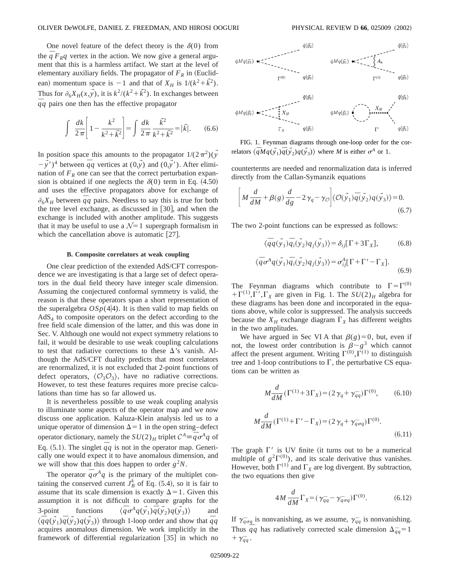One novel feature of the defect theory is the  $\delta(0)$  from the  $\bar{q}F_{R}q$  vertex in the action. We now give a general argument that this is a harmless artifact. We start at the level of elementary auxiliary fields. The propagator of  $F_R$  in (Euclidean) momentum space is  $-1$  and that of  $X_H$  is  $1/(k^2 + \tilde{k}^2)$ . Thus for  $\partial_6 X_H(x, y)$ , it is  $k^2/(k^2 + \overline{k}^2)$ . In exchanges between  $\overline{q}q$  pairs one then has the effective propagator

$$
\int \frac{dk}{2\pi} \left[ 1 - \frac{k^2}{k^2 + \vec{k}^2} \right] = \int \frac{dk}{2\pi} \frac{\vec{k}^2}{k^2 + \vec{k}^2} = |\vec{k}|. \quad (6.6)
$$

In position space this amounts to the propagator  $1/(2\pi^2)(y)$  $-\vec{y}^{\prime}\prime$ <sup>4</sup> between  $\bar{q}q$  vertices at  $(0,\vec{y})$  and  $(0,\vec{y}^{\prime})$ . After elimination of  $F_R$  one can see that the correct perturbation expansion is obtained if one neglects the  $\delta(0)$  term in Eq. (4.50) and uses the effective propagators above for exchange of  $\partial_6 X_H$  between  $\overline{q}q$  pairs. Needless to say this is true for both the tree level exchange, as discussed in  $[30]$ , and when the exchange is included with another amplitude. This suggests that it may be useful to use a  $\mathcal{N}=1$  supergraph formalism in which the cancellation above is automatic  $[27]$ .

#### **B. Composite correlators at weak coupling**

One clear prediction of the extended AdS/CFT correspondence we are investigating is that a large set of defect operators in the dual field theory have integer scale dimension. Assuming the conjectured conformal symmetry is valid, the reason is that these operators span a short representation of the superalgebra  $OSp(4|4)$ . It is then valid to map fields on  $AdS<sub>4</sub>$  to composite operators on the defect according to the free field scale dimension of the latter, and this was done in Sec. V. Although one would not expect symmetry relations to fail, it would be desirable to use weak coupling calculations to test that radiative corrections to these  $\Delta$ 's vanish. Although the AdS/CFT duality predicts that most correlators are renormalized, it is not excluded that 2-point functions of defect operators,  $\langle \mathcal{O}_3 \mathcal{O}_3 \rangle$ , have no radiative corrections. However, to test these features requires more precise calculations than time has so far allowed us.

It is nevertheless possible to use weak coupling analysis to illuminate some aspects of the operator map and we now discuss one application. Kaluza-Klein analysis led us to a unique operator of dimension  $\Delta=1$  in the open string–defect operator dictionary, namely the  $SU(2)_H$  triplet  $C^A = \frac{1}{q} \sigma^A q$  of Eq. (5.1). The singlet  $\overline{q}q$  is not in the operator map. Generically one would expect it to have anomalous dimension, and we will show that this does happen to order  $g^2N$ .

The operator  $\bar{q} \sigma^A q$  is the primary of the multiplet containing the conserved current  $J_B^k$  of Eq. (5.4), so it is fair to assume that its scale dimension is exactly  $\Delta = 1$ . Given this assumption it is not difficult to compare graphs for the 3-point functions ^*¯*  $\overline{q}\sigma^{A}q(\vec{y}_{1})\overline{q}(\vec{y}_{2})q(\vec{y}_{3})$  and  $\langle \overline{q}q(\overrightarrow{y_1})\overrightarrow{q}(\overrightarrow{y_2})q(\overrightarrow{y_3})\rangle$  through 1-loop order and show that  $\overline{q}q$ acquires anomalous dimension. We work implicitly in the framework of differential regularization  $[35]$  in which no



FIG. 1. Feynman diagrams through one-loop order for the correlators  $\langle \overline{q} M q(\overrightarrow{y}_1) \overline{q}(\overrightarrow{y}_2) q(\overrightarrow{y}_3) \rangle$  where *M* is either  $\sigma^A$  or 1.

counterterms are needed and renormalization data is inferred directly from the Callan-Symanzik equations

$$
\left[M\frac{d}{dM} + \beta(g)\frac{d}{dg} - 2\gamma_q - \gamma_{\mathcal{O}}\right] \langle \mathcal{O}(\vec{y}_1)\overline{q}(\vec{y}_2)q(\vec{y}_3)\rangle = 0.
$$
\n(6.7)

The two 2-point functions can be expressed as follows:

$$
\langle \overline{q}q(\overrightarrow{y}_1)\overline{q}_i(\overrightarrow{y}_2)q_j(\overrightarrow{y}_3)\rangle = \delta_{ij}[\Gamma + 3\Gamma_X],\tag{6.8}
$$

$$
\langle \overline{q} \sigma^A q(\overrightarrow{y}_1) \overline{q}_i(\overrightarrow{y}_2) q_j(\overrightarrow{y}_3) \rangle = \sigma_{ij}^A [\Gamma + \Gamma' - \Gamma_X]. \tag{6.9}
$$

The Feynman diagrams which contribute to  $\Gamma = \Gamma^{(0)}$  $+\Gamma^{(1)},\Gamma',\Gamma_X$  are given in Fig. 1. The  $SU(2)_H$  algebra for these diagrams has been done and incorporated in the equations above, while color is suppressed. The analysis succeeds because the  $X_H$  exchange diagram  $\Gamma_X$  has different weights in the two amplitudes.

We have argued in Sec VI A that  $\beta(g)=0$ , but, even if not, the lowest order contribution is  $\beta \sim g^3$  which cannot affect the present argument. Writing  $\Gamma^{(0)}, \Gamma^{(1)}$  to distinguish tree and 1-loop contributions to  $\Gamma$ , the perturbative CS equations can be written as

$$
M\frac{d}{dM}(\Gamma^{(1)} + 3\Gamma_X) = (2\gamma_q + \gamma_{qq}^{\circ})\Gamma^{(0)},\tag{6.10}
$$

$$
M\frac{d}{dM}(\Gamma^{(1)} + \Gamma' - \Gamma_X) = (2\gamma_q + \gamma_{q\sigma q})\Gamma^{(0)}.
$$
\n(6.11)

The graph  $\Gamma'$  is UV finite (it turns out to be a numerical multiple of  $g^2\Gamma^{(0)}$ , and its scale derivative thus vanishes. However, both  $\Gamma^{(1)}$  and  $\Gamma_X$  are log divergent. By subtraction, the two equations then give

$$
4M\frac{d}{dM}\Gamma_X = (\gamma_{\bar{q}q} - \gamma_{\bar{q}\sigma q})\Gamma^{(0)}.
$$
 (6.12)

If  $\gamma_{q\sigma q}^-$  is nonvanishing, as we assume,  $\gamma_{qq}^-$  is nonvanishing. Thus  $\overline{q}q$  has radiatively corrected scale dimension  $\Delta_{\overline{q}q} = 1$  $+ \gamma_{qq}^-$ .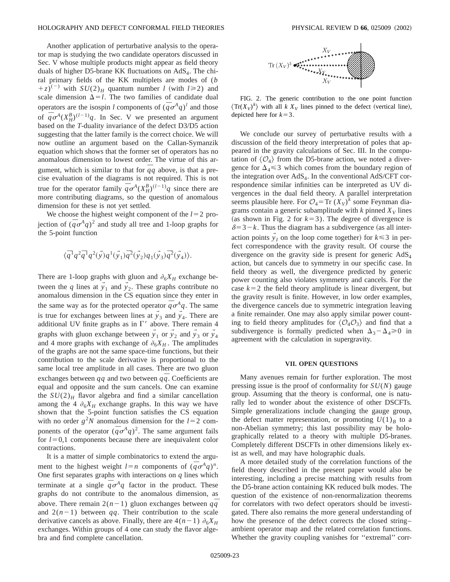Another application of perturbative analysis to the operator map is studying the two candidate operators discussed in Sec. V whose multiple products might appear as field theory duals of higher D5-brane KK fluctuations on  $AdS<sub>4</sub>$ . The chiral primary fields of the KK multiplets are modes of (*b*  $(z+ z)^{(-)}$  with  $SU(2)_H$  quantum number *l* (with  $l \ge 2$ ) and scale dimension  $\Delta = l$ . The two families of candidate dual operators are the isospin *l* components of  $(\bar{q}\sigma^A q)^l$  and those of  $\bar{q} \sigma^A (X_H^B)^{(l-1)} q$ . In Sec. V we presented an argument based on the *T*-duality invariance of the defect D3/D5 action suggesting that the latter family is the correct choice. We will now outline an argument based on the Callan-Symanzik equation which shows that the former set of operators has no anomalous dimension to lowest order. The virtue of this argument, which is similar to that for  $\overline{q}q$  above, is that a precise evaluation of the diagrams is not required. This is not true for the operator family  $\bar{q} \sigma^A (X_H^B)^{(l-1)} q$  since there are more contributing diagrams, so the question of anomalous dimension for these is not yet settled.

We choose the highest weight component of the  $l=2$  projection of  $(\bar{q}\sigma^A q)^2$  and study all tree and 1-loop graphs for the 5-point function

$$
\langle \bar{q}^1q^2\bar{q}^1q^2(\vec{y})q^1(\vec{y}_1)\bar{q}^2(\vec{y}_2)q_1(\vec{y}_3)\bar{q}^2(\vec{y}_4)\rangle.
$$

There are 1-loop graphs with gluon and  $\partial_6 X_H$  exchange between the *q* lines at  $\vec{y}_1$  and  $\vec{y}_2$ . These graphs contribute no anomalous dimension in the CS equation since they enter in the same way as for the protected operator  $\bar{q} \sigma^A q$ . The same is true for exchanges between lines at  $y_3$  and  $y_4$ . There are additional UV finite graphs as in  $\Gamma'$  above. There remain 4 graphs with gluon exchange between  $\overline{y}_1$  or  $\overline{y}_2$  and  $\overline{y}_3$  or  $\overline{y}_4$ and 4 more graphs with exchange of  $\partial_6 X_H$ . The amplitudes of the graphs are not the same space-time functions, but their contribution to the scale derivative is proportional to the same local tree amplitude in all cases. There are two gluon exchanges between *qq* and two between *qq*. Coefficients are equal and opposite and the sum cancels. One can examine the  $SU(2)_H$  flavor algebra and find a similar cancellation among the 4  $\partial_6 X_H$  exchange graphs. In this way we have shown that the 5-point function satisfies the CS equation with no order  $g^2N$  anomalous dimension for the  $l=2$  components of the operator  $(\bar{q}\sigma^A q)^2$ . The same argument fails for  $l=0,1$  components because there are inequivalent color contractions.

It is a matter of simple combinatorics to extend the argument to the highest weight  $l=n$  components of  $(\bar{q}\sigma^A q)^n$ . One first separates graphs with interactions on *q* lines which terminate at a single  $\bar{q} \sigma^A q$  factor in the product. These graphs do not contribute to the anomalous dimension, as above. There remain  $2(n-1)$  gluon exchanges between  $q\bar{q}$ and  $2(n-1)$  between *qq*. Their contribution to the scale derivative cancels as above. Finally, there are  $4(n-1)$   $\partial_6 X_H$ exchanges. Within groups of 4 one can study the flavor algebra and find complete cancellation.



FIG. 2. The generic contribution to the one point function  $\langle \text{Tr}(X_V)^k \rangle$  with all *k*  $X_V$  lines pinned to the defect (vertical line), depicted here for  $k=3$ .

We conclude our survey of perturbative results with a discussion of the field theory interpretation of poles that appeared in the gravity calculations of Sec. III. In the computation of  $\langle \mathcal{O}_4 \rangle$  from the D5-brane action, we noted a divergence for  $\Delta_4 \leq 3$  which comes from the boundary region of the integration over  $AdS<sub>4</sub>$ . In the conventional  $AdS/CFT$  correspondence similar infinities can be interpreted as UV divergences in the dual field theory. A parallel interpretation seems plausible here. For  $\mathcal{O}_4 = \text{Tr} (X_V)^k$  some Feynman diagrams contain a generic subamplitude with  $k$  pinned  $X_V$  lines (as shown in Fig. 2 for  $k=3$ ). The degree of divergence is  $\delta=3-k$ . Thus the diagram has a subdivergence (as all interaction points  $y_I$  on the loop come together) for  $k \leq 3$  in perfect correspondence with the gravity result. Of course the divergence on the gravity side is present for generic AdS4 action, but cancels due to symmetry in our specific case. In field theory as well, the divergence predicted by generic power counting also violates symmetry and cancels. For the case  $k=2$  the field theory amplitude is linear divergent, but the gravity result is finite. However, in low order examples, the divergence cancels due to symmetric integration leaving a finite remainder. One may also apply similar power counting to field theory amplitudes for  $\langle \mathcal{O}_4 \mathcal{O}_3 \rangle$  and find that a subdivergence is formally predicted when  $\Delta_3 - \Delta_4 \ge 0$  in agreement with the calculation in supergravity.

# **VII. OPEN QUESTIONS**

Many avenues remain for further exploration. The most pressing issue is the proof of conformality for *SU*(*N*) gauge group. Assuming that the theory is conformal, one is naturally led to wonder about the existence of other DSCFTs. Simple generalizations include changing the gauge group, the defect matter representation, or promoting  $U(1)_B$  to a non-Abelian symmetry; this last possibility may be holographically related to a theory with multiple D5-branes. Completely different DSCFTs in other dimensions likely exist as well, and may have holographic duals.

A more detailed study of the correlation functions of the field theory described in the present paper would also be interesting, including a precise matching with results from the D5-brane action containing KK reduced bulk modes. The question of the existence of non-renormalization theorems for correlators with two defect operators should be investigated. There also remains the more general understanding of how the presence of the defect corrects the closed string– ambient operator map and the related correlation functions. Whether the gravity coupling vanishes for ''extremal'' corr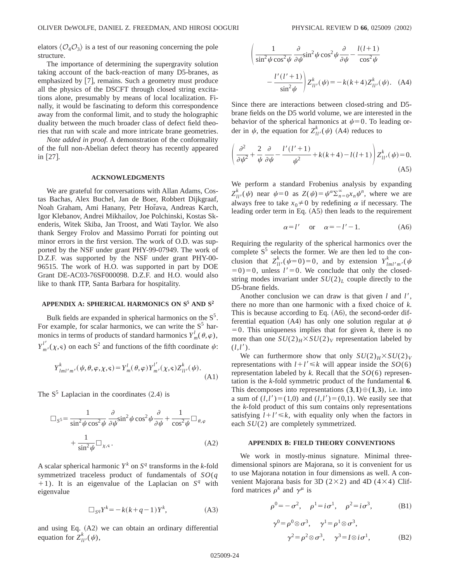elators  $\langle \mathcal{O}_4 \mathcal{O}_3 \rangle$  is a test of our reasoning concerning the pole structure.

The importance of determining the supergravity solution taking account of the back-reaction of many D5-branes, as emphasized by  $[7]$ , remains. Such a geometry must produce all the physics of the DSCFT through closed string excitations alone, presumably by means of local localization. Finally, it would be fascinating to deform this correspondence away from the conformal limit, and to study the holographic duality between the much broader class of defect field theories that run with scale and more intricate brane geometries.

*Note added in proof.* A demonstration of the conformality of the full non-Abelian defect theory has recently appeared in  $\lfloor 27 \rfloor$ .

#### **ACKNOWLEDGMENTS**

We are grateful for conversations with Allan Adams, Costas Bachas, Alex Buchel, Jan de Boer, Robbert Dijkgraaf, Noah Graham, Ami Hanany, Petr Horava, Andreas Karch, Igor Klebanov, Andrei Mikhailov, Joe Polchinski, Kostas Skenderis, Witek Skiba, Jan Troost, and Wati Taylor. We also thank Sergey Frolov and Massimo Porrati for pointing out minor errors in the first version. The work of O.D. was supported by the NSF under grant PHY-99-07949. The work of D.Z.F. was supported by the NSF under grant PHY-00- 96515. The work of H.O. was supported in part by DOE Grant DE-AC03-76SF000098. D.Z.F. and H.O. would also like to thank ITP, Santa Barbara for hospitality.

# **APPENDIX A: SPHERICAL HARMONICS ON S<sup>5</sup> AND S<sup>2</sup>**

Bulk fields are expanded in spherical harmonics on the  $S^5$ . For example, for scalar harmonics, we can write the  $S<sup>5</sup>$  harmonics in terms of products of standard harmonics  $Y_m^l(\theta,\varphi)$ ,  $Y^{l'}_{m'}(\chi, \varsigma)$  on each S<sup>2</sup> and functions of the fifth coordinate  $\psi$ :

$$
Y_{lml'm'}^{k}(\psi,\theta,\varphi,\chi,s) = Y_{m}^{l}(\theta,\varphi)Y_{m'}^{l'}(\chi,s)Z_{ll'}^{k}(\psi).
$$
\n(A1)

The  $S^5$  Laplacian in the coordinates  $(2.4)$  is

$$
\Box_{S^5} = \frac{1}{\sin^2 \psi \cos^2 \psi} \frac{\partial}{\partial \psi} \sin^2 \psi \cos^2 \psi \frac{\partial}{\partial \psi} + \frac{1}{\cos^2 \psi} \Box_{\theta, \varphi}
$$

$$
+ \frac{1}{\sin^2 \psi} \Box_{\chi, \varsigma}.
$$
(A2)

A scalar spherical harmonic  $Y^k$  on  $S^q$  transforms in the *k*-fold symmetrized traceless product of fundamentals of *SO*(*q*  $+1$ ). It is an eigenvalue of the Laplacian on  $S<sup>q</sup>$  with eigenvalue

$$
\Box_{S^q} Y^k = -k(k+q-1)Y^k, \tag{A3}
$$

and using Eq.  $(A2)$  we can obtain an ordinary differential equation for  $Z_{ll'}^k(\psi)$ ,

$$
\left(\frac{1}{\sin^2 \psi \cos^2 \psi} \frac{\partial}{\partial \psi} \sin^2 \psi \cos^2 \psi \frac{\partial}{\partial \psi} - \frac{l(l+1)}{\cos^2 \psi} - \frac{l'(l'+1)}{\sin^2 \psi} \right) Z_{ll'}^k(\psi) = -k(k+4) Z_{ll'}^k(\psi). \quad (A4)
$$

Since there are interactions between closed-string and D5 brane fields on the D5 world volume, we are interested in the behavior of the spherical harmonics at  $\psi=0$ . To leading order in  $\psi$ , the equation for  $Z_{ll'}^k(\psi)$  (A4) reduces to

$$
\left(\frac{\partial^2}{\partial \psi^2} + \frac{2}{\psi} \frac{\partial}{\partial \psi} - \frac{l'(l'+1)}{\psi^2} + k(k+4) - l(l+1)\right) Z_{ll'}^k(\psi) = 0.
$$
\n(A5)

We perform a standard Frobenius analysis by expanding  $Z_{ll'}^k(\psi)$  near  $\psi=0$  as  $Z(\psi)=\psi^\alpha \sum_{n=0}^\infty x_n \psi^n$ , where we are always free to take  $x_0 \neq 0$  by redefining  $\alpha$  if necessary. The leading order term in Eq.  $(A5)$  then leads to the requirement

$$
\alpha = l' \quad \text{or} \quad \alpha = -l' - 1. \tag{A6}
$$

Requiring the regularity of the spherical harmonics over the complete  $S<sup>5</sup>$  selects the former. We are then led to the conclusion that  $Z_{ll'}^k$  ( $\psi$ =0)=0, and by extension  $Y_{lml'm'}^k$  ( $\psi$  $(50) = 0$ , unless  $l' = 0$ . We conclude that only the closedstring modes invariant under  $SU(2)_L$  couple directly to the D5-brane fields.

Another conclusion we can draw is that given *l* and *l'*, there no more than one harmonic with a fixed choice of *k*. This is because according to Eq.  $(A6)$ , the second-order differential equation (A4) has only one solution regular at  $\psi$  $=0$ . This uniqueness implies that for given *k*, there is no more than one  $SU(2)_H$ × $SU(2)_V$  representation labeled by  $(l, l').$ 

We can furthermore show that only  $SU(2)_H$ <sup> $\times$ </sup> $SU(2)_V$ representations with  $l+l' \le k$  will appear inside the *SO*(6) representation labeled by *k*. Recall that the *SO*(6) representation is the *k*-fold symmetric product of the fundamental **6**. This decomposes into representations  $(3,1) \oplus (1,3)$ , i.e. into a sum of  $(l, l') = (1,0)$  and  $(l, l') = (0,1)$ . We easily see that the *k*-fold product of this sum contains only representations satisfying  $l+l' \leq k$ , with equality only when the factors in each *SU*(2) are completely symmetrized.

# **APPENDIX B: FIELD THEORY CONVENTIONS**

We work in mostly-minus signature. Minimal threedimensional spinors are Majorana, so it is convenient for us to use Majorana notation in four dimensions as well. A convenient Majorana basis for 3D (2×2) and 4D (4×4) Clifford matrices  $\rho^k$  and  $\gamma^{\mu}$  is

$$
\rho^0 = -\sigma^2
$$
,  $\rho^1 = i\sigma^1$ ,  $\rho^2 = i\sigma^3$ , (B1)

$$
\gamma^{0} = \rho^{0} \otimes \sigma^{3}, \quad \gamma^{1} = \rho^{1} \otimes \sigma^{3}, \gamma^{2} = \rho^{2} \otimes \sigma^{3}, \quad \gamma^{3} = I \otimes i \sigma^{1},
$$
 (B2)